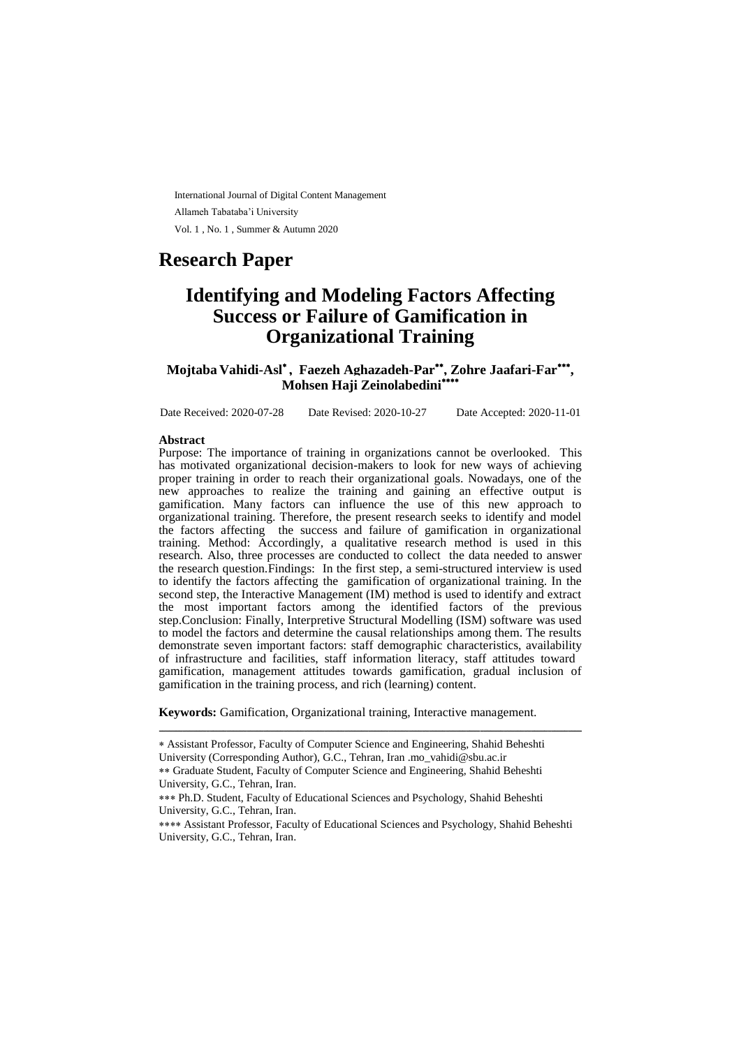International Journal of Digital Content Management Allameh Tabataba'i University Vol. 1 , No. 1 , Summer & Autumn 2020

# **Research Paper**

# **Identifying and Modeling Factors Affecting Success or Failure of Gamification in Organizational Training**

**Mojtaba Vahidi-Asl , Faezeh Aghazadeh-Par , Zohre Jaafari-Far , Mohsen Haji Zeinolabedini**

Date Received: 2020-07-28 Date Revised: 2020-10-27 Date Accepted: 2020-11-01

#### **Abstract**

Purpose: The importance of training in organizations cannot be overlooked. This has motivated organizational decision-makers to look for new ways of achieving proper training in order to reach their organizational goals. Nowadays, one of the new approaches to realize the training and gaining an effective output is gamification. Many factors can influence the use of this new approach to organizational training. Therefore, the present research seeks to identify and model the factors affecting the success and failure of gamification in organizational training. Method: Accordingly, a qualitative research method is used in this research. Also, three processes are conducted to collect the data needed to answer the research question.Findings: In the first step, a semi-structured interview is used to identify the factors affecting the gamification of organizational training. In the second step, the Interactive Management (IM) method is used to identify and extract the most important factors among the identified factors of the previous step.Conclusion: Finally, Interpretive Structural Modelling (ISM) software was used to model the factors and determine the causal relationships among them. The results demonstrate seven important factors: staff demographic characteristics, availability of infrastructure and facilities, staff information literacy, staff attitudes toward gamification, management attitudes towards gamification, gradual inclusion of gamification in the training process, and rich (learning) content.

**Keywords:** Gamification, Organizational training, Interactive management.

ـــــــــــــــــــــــــــــــــــــــــــــــــــــــــــــــــــــــــــــــــــــــــــــــــــــــــــــــــــــــــــــ

Assistant Professor, Faculty of Computer Science and Engineering, Shahid Beheshti University (Corresponding Author), G.C., Tehran, Iran .mo\_vahidi@sbu.ac.ir Graduate Student, Faculty of Computer Science and Engineering, Shahid Beheshti

University, G.C., Tehran, Iran.

Ph.D. Student, Faculty of Educational Sciences and Psychology, Shahid Beheshti University, G.C., Tehran, Iran.

<sup>\*\*\*\*</sup> Assistant Professor, Faculty of Educational Sciences and Psychology, Shahid Beheshti University, G.C., Tehran, Iran.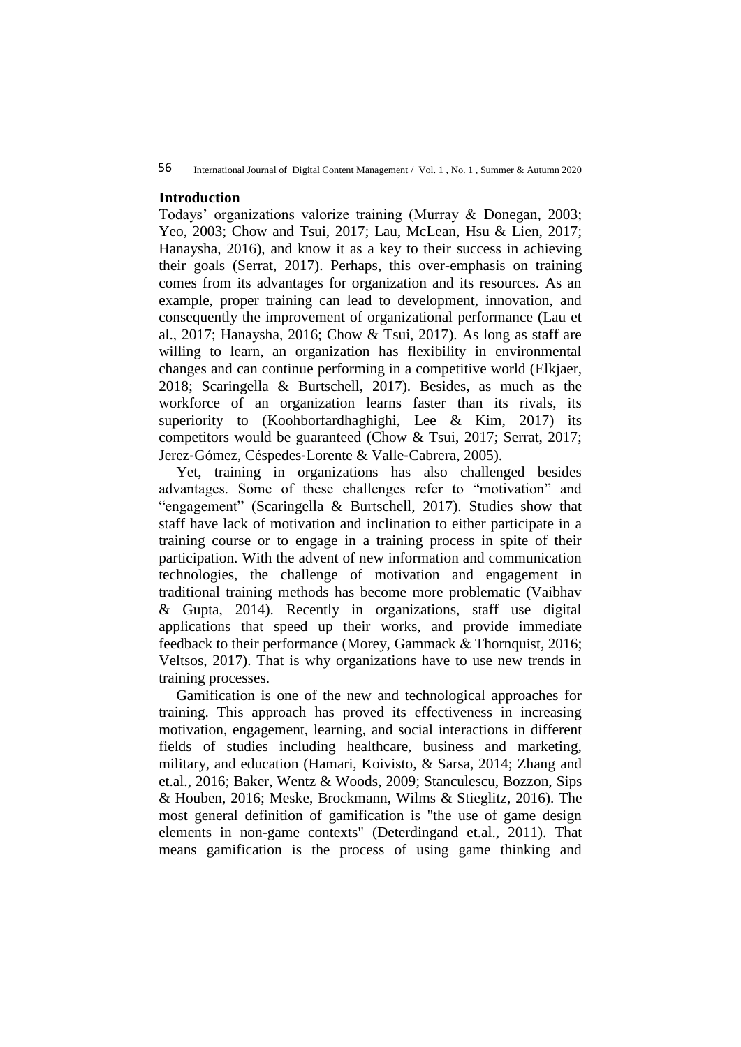56 International Journal of Digital Content Management / Vol. 1 , No. 1 , Summer & Autumn 2020

### **Introduction**

Todays' organizations valorize training (Murray & Donegan, 2003; Yeo, 2003; Chow and Tsui, 2017; Lau, McLean, Hsu & Lien, 2017; Hanaysha, 2016), and know it as a key to their success in achieving their goals (Serrat, 2017). Perhaps, this over-emphasis on training comes from its advantages for organization and its resources. As an example, proper training can lead to development, innovation, and consequently the improvement of organizational performance (Lau et al., 2017; Hanaysha, 2016; Chow & Tsui, 2017). As long as staff are willing to learn, an organization has flexibility in environmental changes and can continue performing in a competitive world (Elkjaer, 2018; Scaringella & Burtschell, 2017). Besides, as much as the workforce of an organization learns faster than its rivals, its superiority to (Koohborfardhaghighi, Lee & Kim, 2017) its competitors would be guaranteed (Chow & Tsui, 2017; Serrat, 2017; Jerez‐Gómez, Céspedes‐Lorente & Valle‐Cabrera, 2005).

Yet, training in organizations has also challenged besides advantages. Some of these challenges refer to "motivation" and "engagement" (Scaringella & Burtschell, 2017). Studies show that staff have lack of motivation and inclination to either participate in a training course or to engage in a training process in spite of their participation. With the advent of new information and communication technologies, the challenge of motivation and engagement in traditional training methods has become more problematic (Vaibhav & Gupta, 2014). Recently in organizations, staff use digital applications that speed up their works, and provide immediate feedback to their performance (Morey, Gammack & Thornquist, 2016; Veltsos, 2017). That is why organizations have to use new trends in training processes.

Gamification is one of the new and technological approaches for training. This approach has proved its effectiveness in increasing motivation, engagement, learning, and social interactions in different fields of studies including healthcare, business and marketing, military, and education (Hamari, Koivisto, & Sarsa, 2014; Zhang and et.al., 2016; Baker, Wentz & Woods, 2009; Stanculescu, Bozzon, Sips & Houben, 2016; Meske, Brockmann, Wilms & Stieglitz, 2016). The most general definition of gamification is "the use of game design elements in non-game contexts" (Deterdingand et.al., 2011). That means gamification is the process of using game thinking and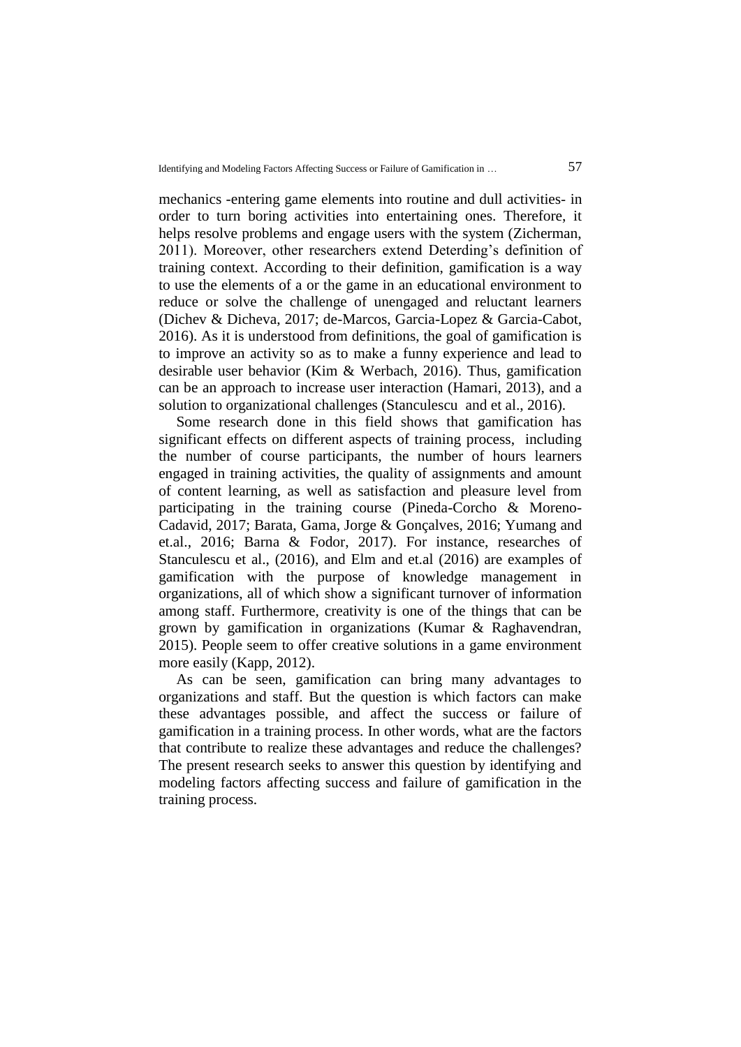mechanics -entering game elements into routine and dull activities- in order to turn boring activities into entertaining ones. Therefore, it helps resolve problems and engage users with the system (Zicherman, 2011). Moreover, other researchers extend Deterding's definition of training context. According to their definition, gamification is a way to use the elements of a or the game in an educational environment to reduce or solve the challenge of unengaged and reluctant learners (Dichev & Dicheva, 2017; de-Marcos, Garcia-Lopez & Garcia-Cabot, 2016). As it is understood from definitions, the goal of gamification is to improve an activity so as to make a funny experience and lead to desirable user behavior (Kim & Werbach, 2016). Thus, gamification can be an approach to increase user interaction (Hamari, 2013), and a solution to organizational challenges (Stanculescu and et al., 2016).

Some research done in this field shows that gamification has significant effects on different aspects of training process, including the number of course participants, the number of hours learners engaged in training activities, the quality of assignments and amount of content learning, as well as satisfaction and pleasure level from participating in the training course (Pineda-Corcho & Moreno-Cadavid, 2017; Barata, Gama, Jorge & Gonçalves, 2016; Yumang and et.al., 2016; Barna & Fodor, 2017). For instance, researches of Stanculescu et al., (2016), and Elm and et.al (2016) are examples of gamification with the purpose of knowledge management in organizations, all of which show a significant turnover of information among staff. Furthermore, creativity is one of the things that can be grown by gamification in organizations (Kumar & Raghavendran, 2015). People seem to offer creative solutions in a game environment more easily (Kapp, 2012).

As can be seen, gamification can bring many advantages to organizations and staff. But the question is which factors can make these advantages possible, and affect the success or failure of gamification in a training process. In other words, what are the factors that contribute to realize these advantages and reduce the challenges? The present research seeks to answer this question by identifying and modeling factors affecting success and failure of gamification in the training process.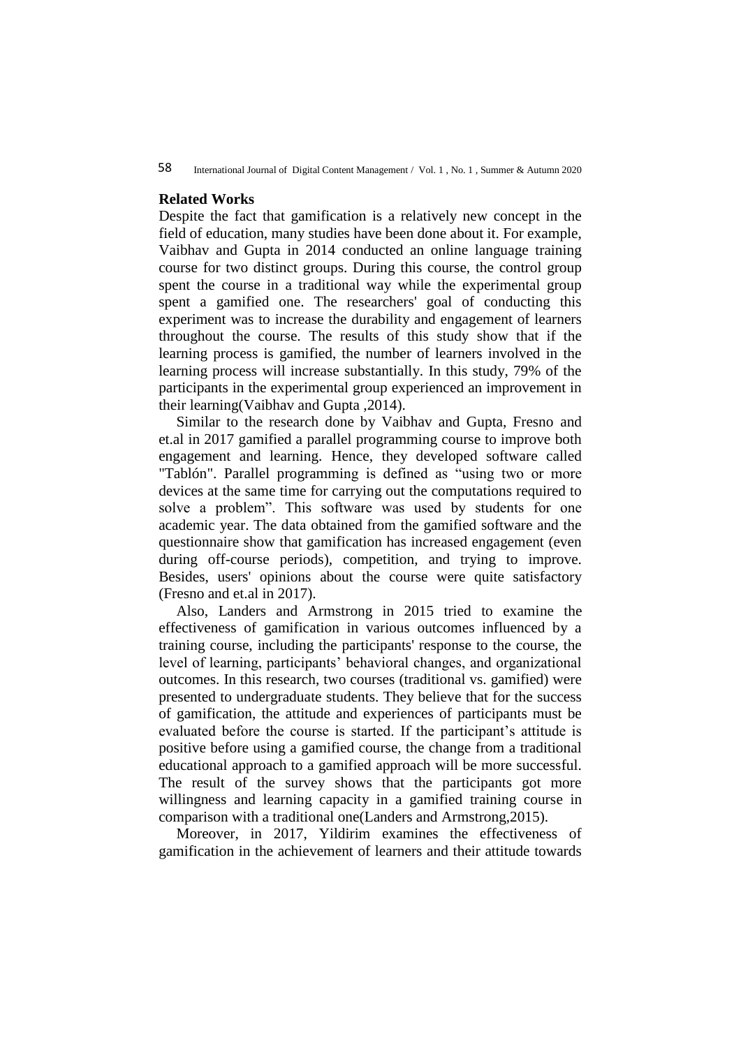### **Related Works**

Despite the fact that gamification is a relatively new concept in the field of education, many studies have been done about it. For example, Vaibhav and Gupta in 2014 conducted an online language training course for two distinct groups. During this course, the control group spent the course in a traditional way while the experimental group spent a gamified one. The researchers' goal of conducting this experiment was to increase the durability and engagement of learners throughout the course. The results of this study show that if the learning process is gamified, the number of learners involved in the learning process will increase substantially. In this study, 79% of the participants in the experimental group experienced an improvement in their learning(Vaibhav and Gupta ,2014).

Similar to the research done by Vaibhav and Gupta, Fresno and et.al in 2017 gamified a parallel programming course to improve both engagement and learning. Hence, they developed software called "Tablón". Parallel programming is defined as "using two or more devices at the same time for carrying out the computations required to solve a problem". This software was used by students for one academic year. The data obtained from the gamified software and the questionnaire show that gamification has increased engagement (even during off-course periods), competition, and trying to improve. Besides, users' opinions about the course were quite satisfactory (Fresno and et.al in 2017).

Also, Landers and Armstrong in 2015 tried to examine the effectiveness of gamification in various outcomes influenced by a training course, including the participants' response to the course, the level of learning, participants' behavioral changes, and organizational outcomes. In this research, two courses (traditional vs. gamified) were presented to undergraduate students. They believe that for the success of gamification, the attitude and experiences of participants must be evaluated before the course is started. If the participant's attitude is positive before using a gamified course, the change from a traditional educational approach to a gamified approach will be more successful. The result of the survey shows that the participants got more willingness and learning capacity in a gamified training course in comparison with a traditional one(Landers and Armstrong,2015).

Moreover, in 2017, Yildirim examines the effectiveness of gamification in the achievement of learners and their attitude towards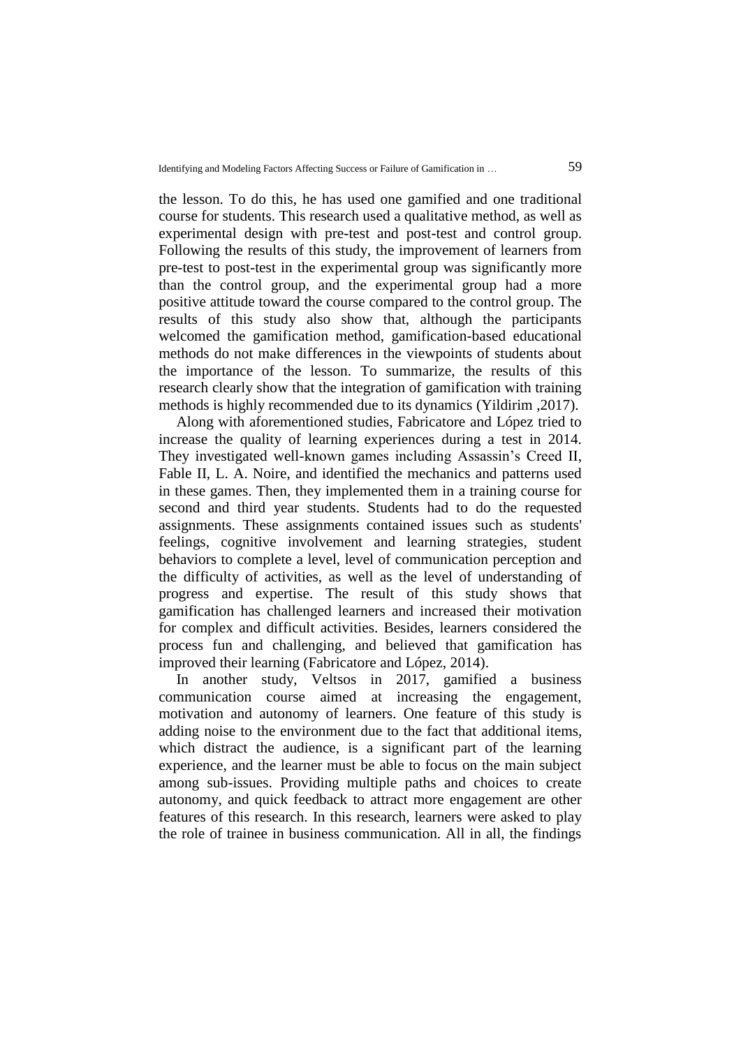the lesson. To do this, he has used one gamified and one traditional course for students. This research used a qualitative method, as well as experimental design with pre-test and post-test and control group. Following the results of this study, the improvement of learners from pre-test to post-test in the experimental group was significantly more than the control group, and the experimental group had a more positive attitude toward the course compared to the control group. The results of this study also show that, although the participants welcomed the gamification method, gamification-based educational methods do not make differences in the viewpoints of students about the importance of the lesson. To summarize, the results of this research clearly show that the integration of gamification with training methods is highly recommended due to its dynamics (Yildirim ,2017).

Along with aforementioned studies, Fabricatore and López tried to increase the quality of learning experiences during a test in 2014. They investigated well-known games including Assassin's Creed II, Fable II, L. A. Noire, and identified the mechanics and patterns used in these games. Then, they implemented them in a training course for second and third year students. Students had to do the requested assignments. These assignments contained issues such as students' feelings, cognitive involvement and learning strategies, student behaviors to complete a level, level of communication perception and the difficulty of activities, as well as the level of understanding of progress and expertise. The result of this study shows that gamification has challenged learners and increased their motivation for complex and difficult activities. Besides, learners considered the process fun and challenging, and believed that gamification has improved their learning (Fabricatore and López, 2014).

In another study, Veltsos in 2017, gamified a business communication course aimed at increasing the engagement, motivation and autonomy of learners. One feature of this study is adding noise to the environment due to the fact that additional items, which distract the audience, is a significant part of the learning experience, and the learner must be able to focus on the main subject among sub-issues. Providing multiple paths and choices to create autonomy, and quick feedback to attract more engagement are other features of this research. In this research, learners were asked to play the role of trainee in business communication. All in all, the findings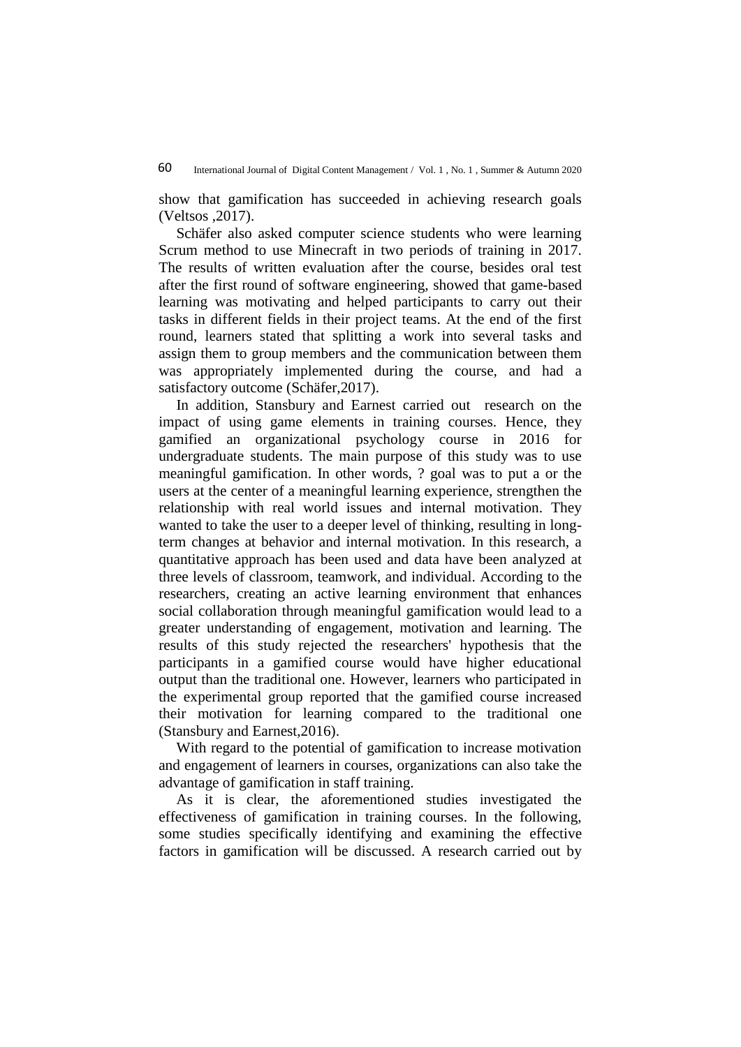show that gamification has succeeded in achieving research goals (Veltsos ,2017).

Schäfer also asked computer science students who were learning Scrum method to use Minecraft in two periods of training in 2017. The results of written evaluation after the course, besides oral test after the first round of software engineering, showed that game-based learning was motivating and helped participants to carry out their tasks in different fields in their project teams. At the end of the first round, learners stated that splitting a work into several tasks and assign them to group members and the communication between them was appropriately implemented during the course, and had a satisfactory outcome (Schäfer,2017).

In addition, Stansbury and Earnest carried out research on the impact of using game elements in training courses. Hence, they gamified an organizational psychology course in 2016 for undergraduate students. The main purpose of this study was to use meaningful gamification. In other words, ? goal was to put a or the users at the center of a meaningful learning experience, strengthen the relationship with real world issues and internal motivation. They wanted to take the user to a deeper level of thinking, resulting in longterm changes at behavior and internal motivation. In this research, a quantitative approach has been used and data have been analyzed at three levels of classroom, teamwork, and individual. According to the researchers, creating an active learning environment that enhances social collaboration through meaningful gamification would lead to a greater understanding of engagement, motivation and learning. The results of this study rejected the researchers' hypothesis that the participants in a gamified course would have higher educational output than the traditional one. However, learners who participated in the experimental group reported that the gamified course increased their motivation for learning compared to the traditional one (Stansbury and Earnest,2016).

With regard to the potential of gamification to increase motivation and engagement of learners in courses, organizations can also take the advantage of gamification in staff training.

As it is clear, the aforementioned studies investigated the effectiveness of gamification in training courses. In the following, some studies specifically identifying and examining the effective factors in gamification will be discussed. A research carried out by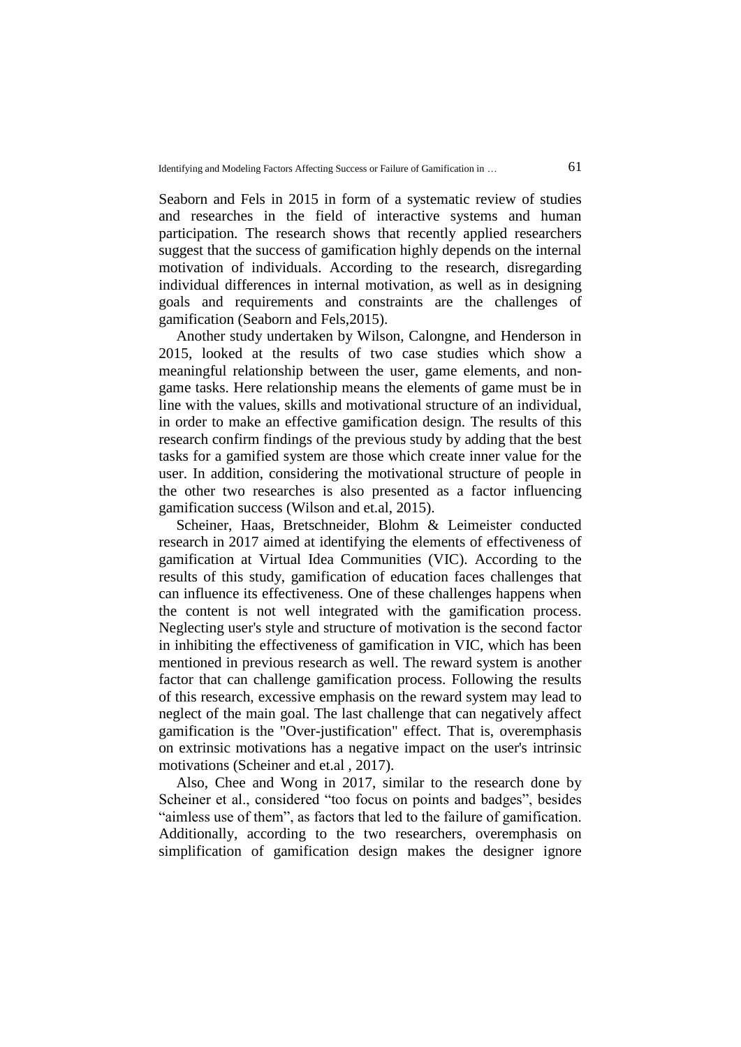Seaborn and Fels in 2015 in form of a systematic review of studies and researches in the field of interactive systems and human participation. The research shows that recently applied researchers suggest that the success of gamification highly depends on the internal motivation of individuals. According to the research, disregarding individual differences in internal motivation, as well as in designing goals and requirements and constraints are the challenges of gamification (Seaborn and Fels,2015).

Another study undertaken by Wilson, Calongne, and Henderson in 2015, looked at the results of two case studies which show a meaningful relationship between the user, game elements, and nongame tasks. Here relationship means the elements of game must be in line with the values, skills and motivational structure of an individual, in order to make an effective gamification design. The results of this research confirm findings of the previous study by adding that the best tasks for a gamified system are those which create inner value for the user. In addition, considering the motivational structure of people in the other two researches is also presented as a factor influencing gamification success (Wilson and et.al, 2015).

Scheiner, Haas, Bretschneider, Blohm & Leimeister conducted research in 2017 aimed at identifying the elements of effectiveness of gamification at Virtual Idea Communities (VIC). According to the results of this study, gamification of education faces challenges that can influence its effectiveness. One of these challenges happens when the content is not well integrated with the gamification process. Neglecting user's style and structure of motivation is the second factor in inhibiting the effectiveness of gamification in VIC, which has been mentioned in previous research as well. The reward system is another factor that can challenge gamification process. Following the results of this research, excessive emphasis on the reward system may lead to neglect of the main goal. The last challenge that can negatively affect gamification is the "Over-justification" effect. That is, overemphasis on extrinsic motivations has a negative impact on the user's intrinsic motivations (Scheiner and et.al , 2017).

Also, Chee and Wong in 2017, similar to the research done by Scheiner et al., considered "too focus on points and badges", besides "aimless use of them", as factors that led to the failure of gamification. Additionally, according to the two researchers, overemphasis on simplification of gamification design makes the designer ignore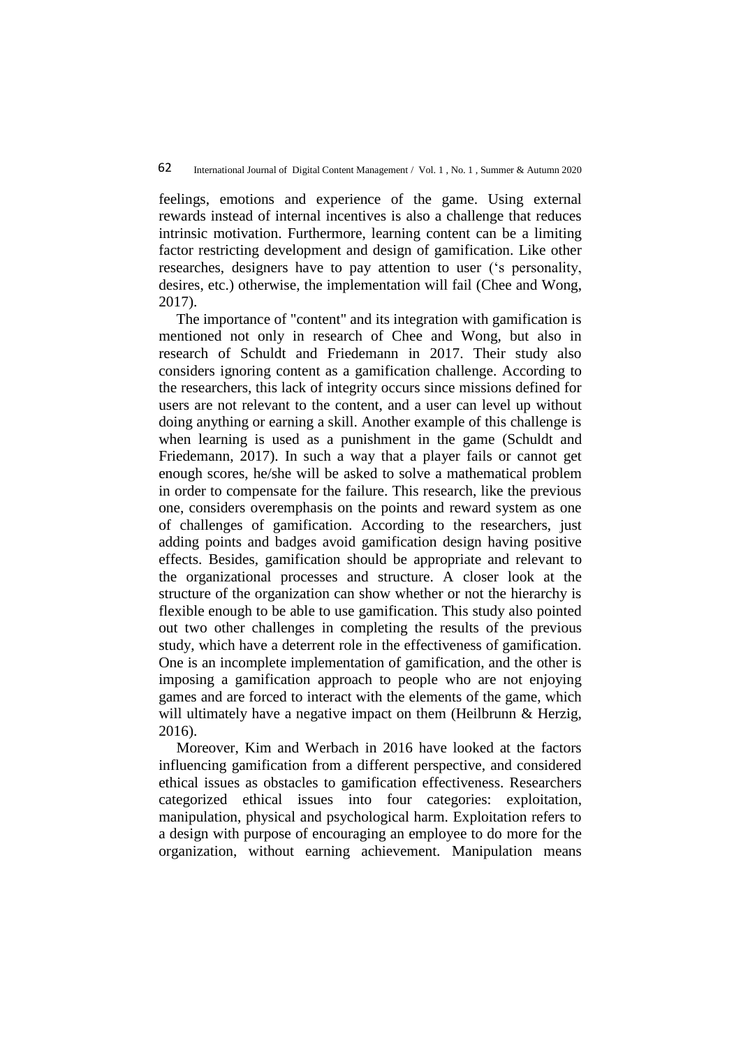feelings, emotions and experience of the game. Using external rewards instead of internal incentives is also a challenge that reduces intrinsic motivation. Furthermore, learning content can be a limiting factor restricting development and design of gamification. Like other researches, designers have to pay attention to user ('s personality, desires, etc.) otherwise, the implementation will fail (Chee and Wong, 2017).

The importance of "content" and its integration with gamification is mentioned not only in research of Chee and Wong, but also in research of Schuldt and Friedemann in 2017. Their study also considers ignoring content as a gamification challenge. According to the researchers, this lack of integrity occurs since missions defined for users are not relevant to the content, and a user can level up without doing anything or earning a skill. Another example of this challenge is when learning is used as a punishment in the game (Schuldt and Friedemann, 2017). In such a way that a player fails or cannot get enough scores, he/she will be asked to solve a mathematical problem in order to compensate for the failure. This research, like the previous one, considers overemphasis on the points and reward system as one of challenges of gamification. According to the researchers, just adding points and badges avoid gamification design having positive effects. Besides, gamification should be appropriate and relevant to the organizational processes and structure. A closer look at the structure of the organization can show whether or not the hierarchy is flexible enough to be able to use gamification. This study also pointed out two other challenges in completing the results of the previous study, which have a deterrent role in the effectiveness of gamification. One is an incomplete implementation of gamification, and the other is imposing a gamification approach to people who are not enjoying games and are forced to interact with the elements of the game, which will ultimately have a negative impact on them (Heilbrunn & Herzig, 2016).

Moreover, Kim and Werbach in 2016 have looked at the factors influencing gamification from a different perspective, and considered ethical issues as obstacles to gamification effectiveness. Researchers categorized ethical issues into four categories: exploitation, manipulation, physical and psychological harm. Exploitation refers to a design with purpose of encouraging an employee to do more for the organization, without earning achievement. Manipulation means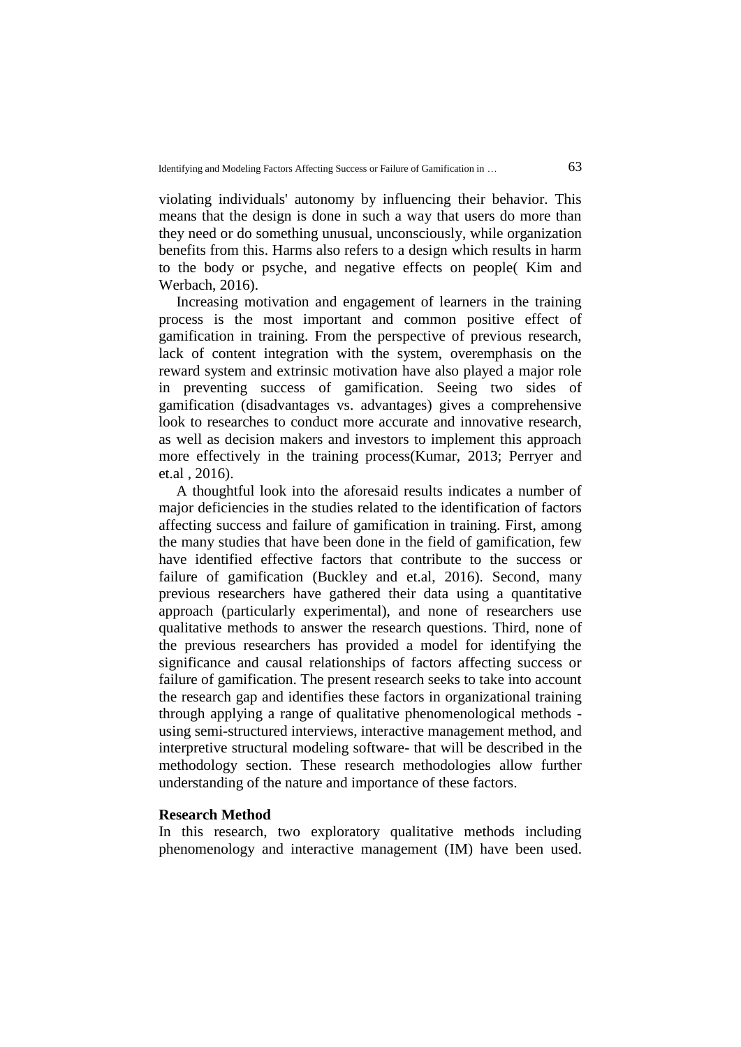violating individuals' autonomy by influencing their behavior. This means that the design is done in such a way that users do more than they need or do something unusual, unconsciously, while organization benefits from this. Harms also refers to a design which results in harm to the body or psyche, and negative effects on people( Kim and Werbach, 2016).

Increasing motivation and engagement of learners in the training process is the most important and common positive effect of gamification in training. From the perspective of previous research, lack of content integration with the system, overemphasis on the reward system and extrinsic motivation have also played a major role in preventing success of gamification. Seeing two sides of gamification (disadvantages vs. advantages) gives a comprehensive look to researches to conduct more accurate and innovative research, as well as decision makers and investors to implement this approach more effectively in the training process(Kumar, 2013; Perryer and et.al , 2016).

A thoughtful look into the aforesaid results indicates a number of major deficiencies in the studies related to the identification of factors affecting success and failure of gamification in training. First, among the many studies that have been done in the field of gamification, few have identified effective factors that contribute to the success or failure of gamification (Buckley and et.al, 2016). Second, many previous researchers have gathered their data using a quantitative approach (particularly experimental), and none of researchers use qualitative methods to answer the research questions. Third, none of the previous researchers has provided a model for identifying the significance and causal relationships of factors affecting success or failure of gamification. The present research seeks to take into account the research gap and identifies these factors in organizational training through applying a range of qualitative phenomenological methods using semi-structured interviews, interactive management method, and interpretive structural modeling software- that will be described in the methodology section. These research methodologies allow further understanding of the nature and importance of these factors.

#### **Research Method**

In this research, two exploratory qualitative methods including phenomenology and interactive management (IM) have been used.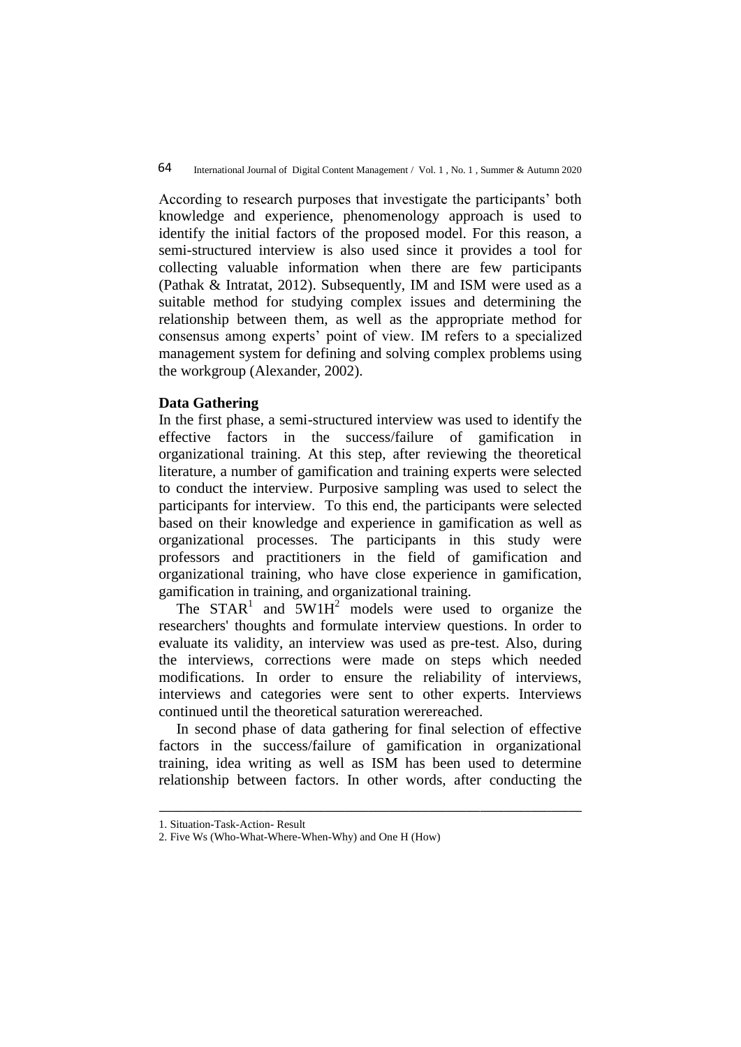According to research purposes that investigate the participants' both knowledge and experience, phenomenology approach is used to identify the initial factors of the proposed model. For this reason, a semi-structured interview is also used since it provides a tool for collecting valuable information when there are few participants (Pathak & Intratat, 2012). Subsequently, IM and ISM were used as a suitable method for studying complex issues and determining the relationship between them, as well as the appropriate method for consensus among experts' point of view. IM refers to a specialized management system for defining and solving complex problems using the workgroup (Alexander, 2002).

## **Data Gathering**

In the first phase, a semi-structured interview was used to identify the effective factors in the success/failure of gamification in organizational training. At this step, after reviewing the theoretical literature, a number of gamification and training experts were selected to conduct the interview. Purposive sampling was used to select the participants for interview. To this end, the participants were selected based on their knowledge and experience in gamification as well as organizational processes. The participants in this study were professors and practitioners in the field of gamification and organizational training, who have close experience in gamification, gamification in training, and organizational training.

The  $STAR<sup>1</sup>$  and  $5WHH<sup>2</sup>$  models were used to organize the researchers' thoughts and formulate interview questions. In order to evaluate its validity, an interview was used as pre-test. Also, during the interviews, corrections were made on steps which needed modifications. In order to ensure the reliability of interviews, interviews and categories were sent to other experts. Interviews continued until the theoretical saturation werereached.

In second phase of data gathering for final selection of effective factors in the success/failure of gamification in organizational training, idea writing as well as ISM has been used to determine relationship between factors. In other words, after conducting the

ـــــــــــــــــــــــــــــــــــــــــــــــــــــــــــــــــــــــــــــــــــــــــــــــــــــــــــــــــــــــــــــ

<sup>1.</sup> Situation-Task-Action- Result

<sup>2.</sup> Five Ws (Who-What-Where-When-Why) and One H (How)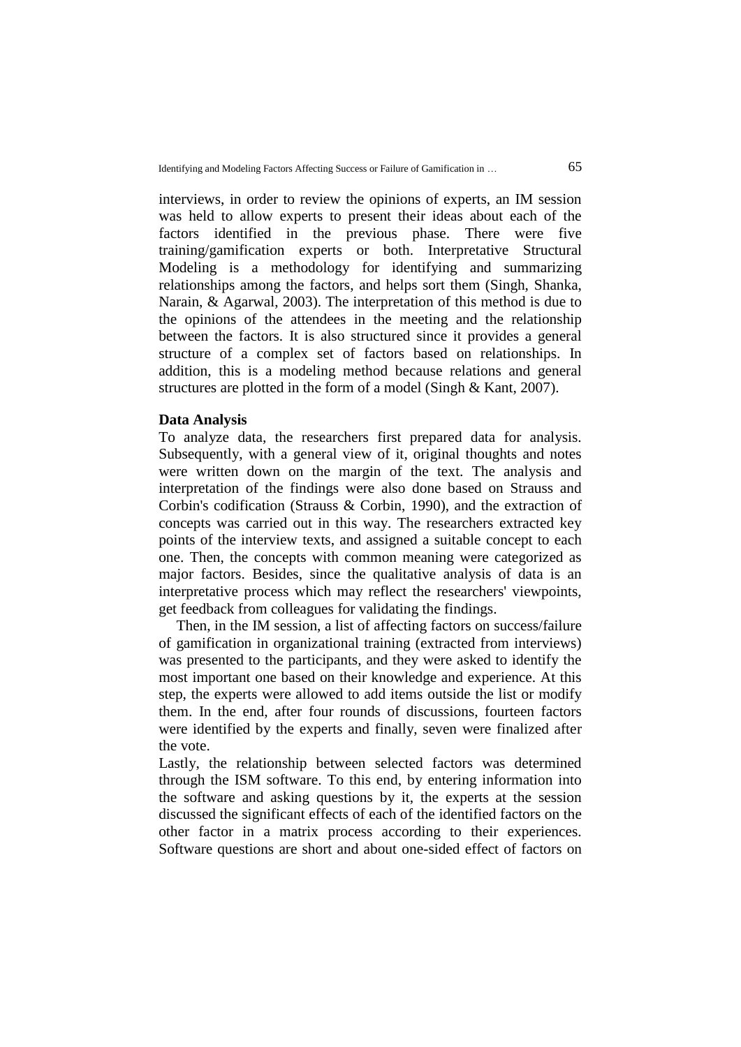interviews, in order to review the opinions of experts, an IM session was held to allow experts to present their ideas about each of the factors identified in the previous phase. There were five training/gamification experts or both. Interpretative Structural Modeling is a methodology for identifying and summarizing relationships among the factors, and helps sort them (Singh, Shanka, Narain, & Agarwal, 2003). The interpretation of this method is due to the opinions of the attendees in the meeting and the relationship between the factors. It is also structured since it provides a general structure of a complex set of factors based on relationships. In addition, this is a modeling method because relations and general structures are plotted in the form of a model (Singh & Kant, 2007).

#### **Data Analysis**

To analyze data, the researchers first prepared data for analysis. Subsequently, with a general view of it, original thoughts and notes were written down on the margin of the text. The analysis and interpretation of the findings were also done based on Strauss and Corbin's codification (Strauss & Corbin, 1990), and the extraction of concepts was carried out in this way. The researchers extracted key points of the interview texts, and assigned a suitable concept to each one. Then, the concepts with common meaning were categorized as major factors. Besides, since the qualitative analysis of data is an interpretative process which may reflect the researchers' viewpoints, get feedback from colleagues for validating the findings.

Then, in the IM session, a list of affecting factors on success/failure of gamification in organizational training (extracted from interviews) was presented to the participants, and they were asked to identify the most important one based on their knowledge and experience. At this step, the experts were allowed to add items outside the list or modify them. In the end, after four rounds of discussions, fourteen factors were identified by the experts and finally, seven were finalized after the vote.

Lastly, the relationship between selected factors was determined through the ISM software. To this end, by entering information into the software and asking questions by it, the experts at the session discussed the significant effects of each of the identified factors on the other factor in a matrix process according to their experiences. Software questions are short and about one-sided effect of factors on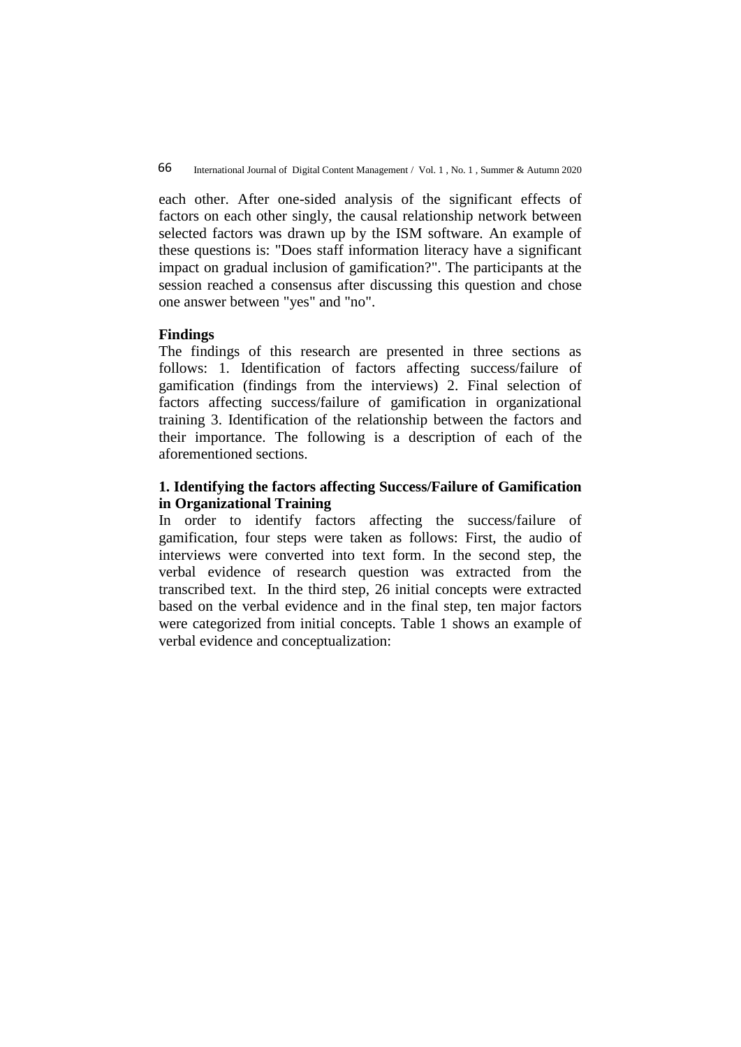each other. After one-sided analysis of the significant effects of factors on each other singly, the causal relationship network between selected factors was drawn up by the ISM software. An example of these questions is: "Does staff information literacy have a significant impact on gradual inclusion of gamification?". The participants at the session reached a consensus after discussing this question and chose one answer between "yes" and "no".

## **Findings**

The findings of this research are presented in three sections as follows: 1. Identification of factors affecting success/failure of gamification (findings from the interviews) 2. Final selection of factors affecting success/failure of gamification in organizational training 3. Identification of the relationship between the factors and their importance. The following is a description of each of the aforementioned sections.

## **1. Identifying the factors affecting Success/Failure of Gamification in Organizational Training**

In order to identify factors affecting the success/failure of gamification, four steps were taken as follows: First, the audio of interviews were converted into text form. In the second step, the verbal evidence of research question was extracted from the transcribed text. In the third step, 26 initial concepts were extracted based on the verbal evidence and in the final step, ten major factors were categorized from initial concepts. Table 1 shows an example of verbal evidence and conceptualization: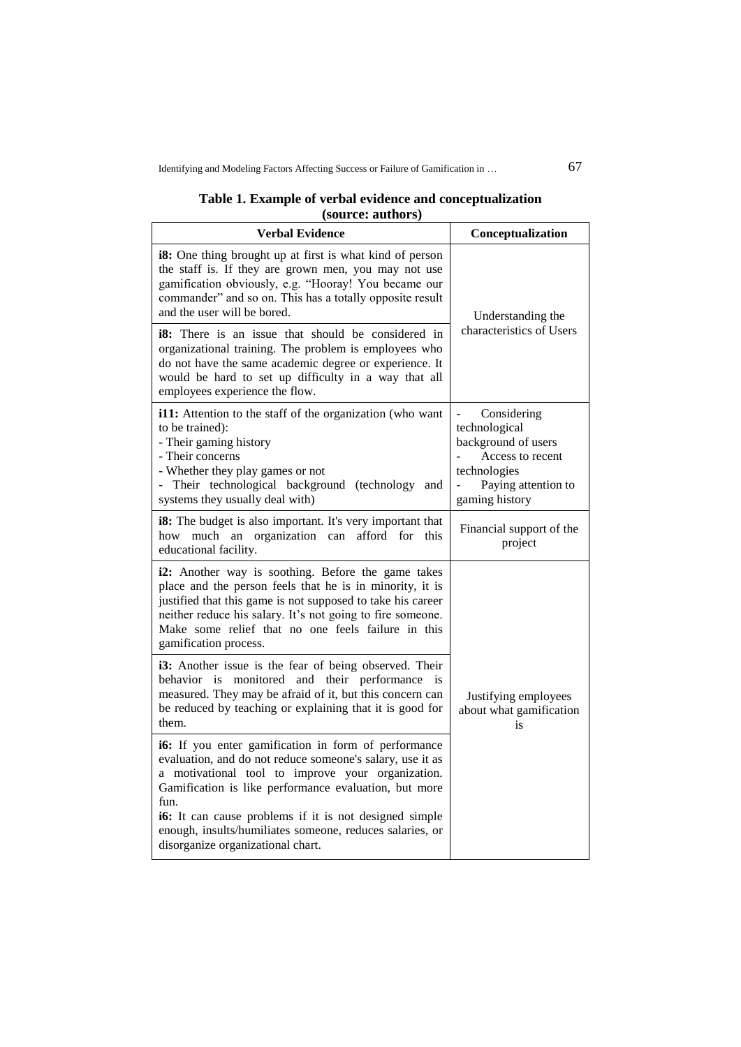### **Table 1. Example of verbal evidence and conceptualization (source: authors)**

| <b>Verbal Evidence</b>                                                                                                                                                                                                                                                                                                     | Conceptualization                                                                                                                |  |
|----------------------------------------------------------------------------------------------------------------------------------------------------------------------------------------------------------------------------------------------------------------------------------------------------------------------------|----------------------------------------------------------------------------------------------------------------------------------|--|
| i8: One thing brought up at first is what kind of person<br>the staff is. If they are grown men, you may not use<br>gamification obviously, e.g. "Hooray! You became our<br>commander" and so on. This has a totally opposite result<br>and the user will be bored.                                                        | Understanding the                                                                                                                |  |
| <b>i8:</b> There is an issue that should be considered in<br>organizational training. The problem is employees who<br>do not have the same academic degree or experience. It<br>would be hard to set up difficulty in a way that all<br>employees experience the flow.                                                     | characteristics of Users                                                                                                         |  |
| i11: Attention to the staff of the organization (who want<br>to be trained):<br>- Their gaming history<br>- Their concerns<br>- Whether they play games or not<br>Their technological background (technology and<br>systems they usually deal with)                                                                        | Considering<br>technological<br>background of users<br>Access to recent<br>technologies<br>Paying attention to<br>gaming history |  |
| i8: The budget is also important. It's very important that<br>much an organization can<br>afford for<br>this<br>how<br>educational facility.                                                                                                                                                                               | Financial support of the<br>project                                                                                              |  |
| i2: Another way is soothing. Before the game takes<br>place and the person feels that he is in minority, it is<br>justified that this game is not supposed to take his career<br>neither reduce his salary. It's not going to fire someone.<br>Make some relief that no one feels failure in this<br>gamification process. |                                                                                                                                  |  |
| i3: Another issue is the fear of being observed. Their<br>monitored<br><b>behavior</b><br>is<br>and<br>their performance<br>is<br>measured. They may be afraid of it, but this concern can<br>be reduced by teaching or explaining that it is good for<br>them.                                                            | Justifying employees<br>about what gamification<br>is                                                                            |  |
| i6: If you enter gamification in form of performance<br>evaluation, and do not reduce someone's salary, use it as<br>a motivational tool to improve your organization.<br>Gamification is like performance evaluation, but more<br>fun.                                                                                    |                                                                                                                                  |  |
| <b>i6:</b> It can cause problems if it is not designed simple<br>enough, insults/humiliates someone, reduces salaries, or<br>disorganize organizational chart.                                                                                                                                                             |                                                                                                                                  |  |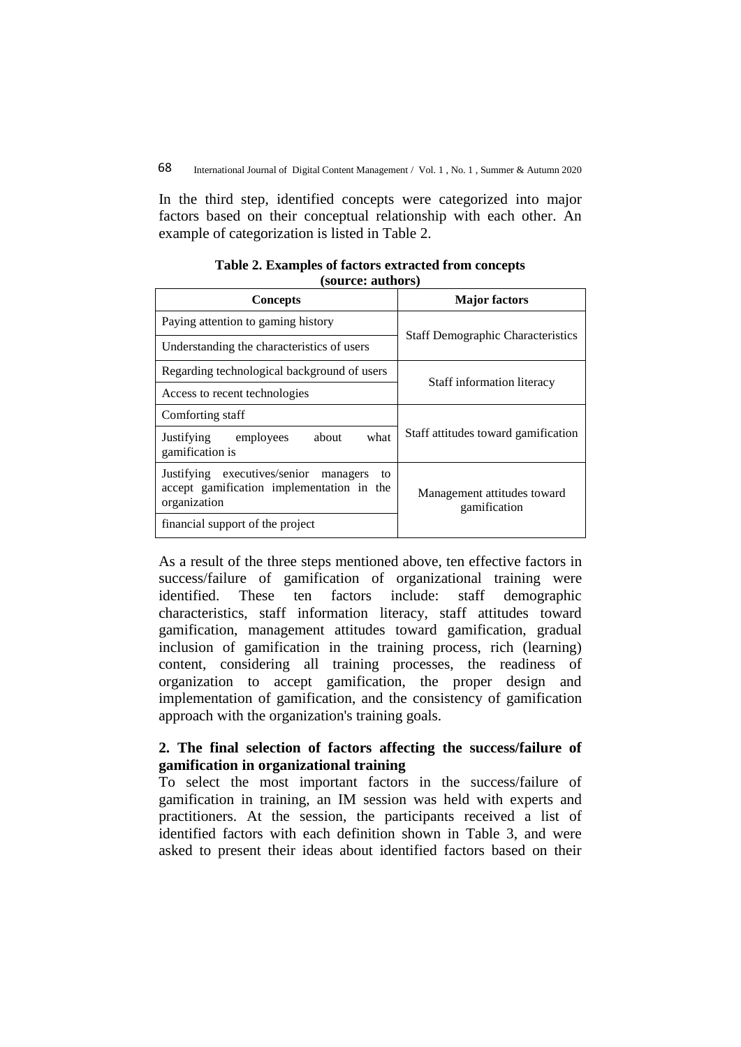In the third step, identified concepts were categorized into major factors based on their conceptual relationship with each other. An example of categorization is listed in Table 2.

| <b>Concepts</b>                                                                                             | <b>Major factors</b>                        |  |
|-------------------------------------------------------------------------------------------------------------|---------------------------------------------|--|
| Paying attention to gaming history                                                                          | <b>Staff Demographic Characteristics</b>    |  |
| Understanding the characteristics of users                                                                  |                                             |  |
| Regarding technological background of users                                                                 | Staff information literacy                  |  |
| Access to recent technologies                                                                               |                                             |  |
| Comforting staff                                                                                            |                                             |  |
| Justifying<br>about<br>what<br>employees<br>gamification is                                                 | Staff attitudes toward gamification         |  |
| Justifying executives/senior<br>managers<br>to<br>accept gamification implementation in the<br>organization | Management attitudes toward<br>gamification |  |
| financial support of the project                                                                            |                                             |  |

**Table 2. Examples of factors extracted from concepts (source: authors)**

As a result of the three steps mentioned above, ten effective factors in success/failure of gamification of organizational training were identified. These ten factors include: staff demographic characteristics, staff information literacy, staff attitudes toward gamification, management attitudes toward gamification, gradual inclusion of gamification in the training process, rich (learning) content, considering all training processes, the readiness of organization to accept gamification, the proper design and implementation of gamification, and the consistency of gamification approach with the organization's training goals.

## **2. The final selection of factors affecting the success/failure of gamification in organizational training**

To select the most important factors in the success/failure of gamification in training, an IM session was held with experts and practitioners. At the session, the participants received a list of identified factors with each definition shown in Table 3, and were asked to present their ideas about identified factors based on their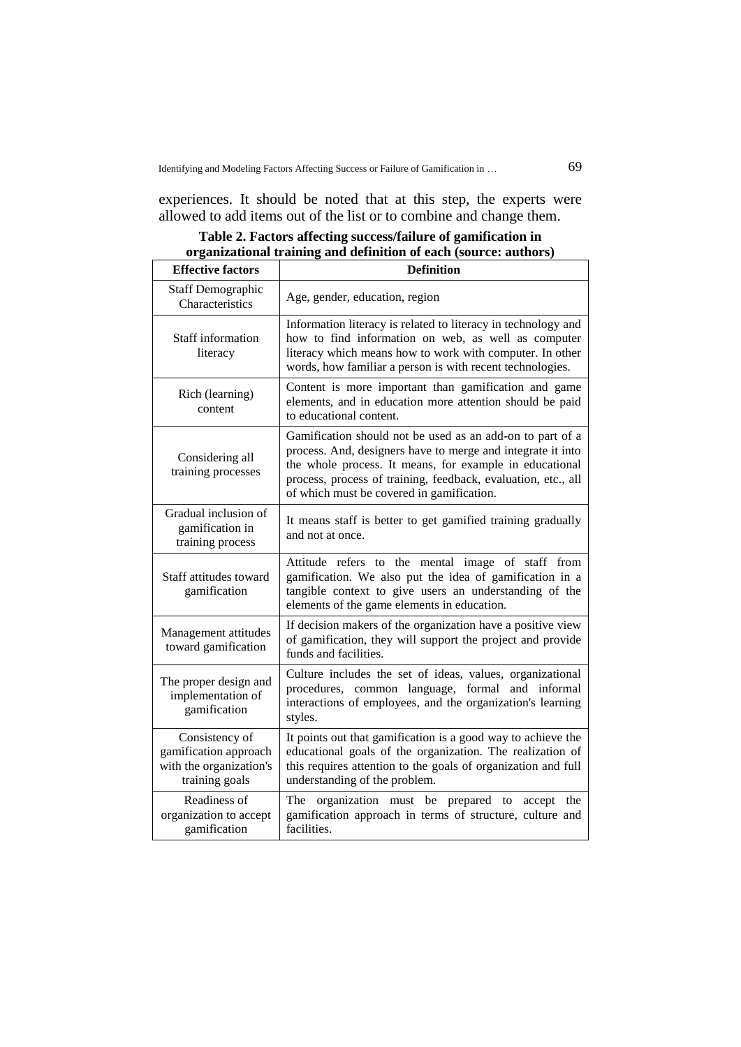experiences. It should be noted that at this step, the experts were allowed to add items out of the list or to combine and change them.

| <b>Effective factors</b>                                                             | <b>Definition</b>                                                                                                                                                                                                                                                                                 |
|--------------------------------------------------------------------------------------|---------------------------------------------------------------------------------------------------------------------------------------------------------------------------------------------------------------------------------------------------------------------------------------------------|
| <b>Staff Demographic</b><br>Characteristics                                          | Age, gender, education, region                                                                                                                                                                                                                                                                    |
| Staff information<br>literacy                                                        | Information literacy is related to literacy in technology and<br>how to find information on web, as well as computer<br>literacy which means how to work with computer. In other<br>words, how familiar a person is with recent technologies.                                                     |
| Rich (learning)<br>content                                                           | Content is more important than gamification and game<br>elements, and in education more attention should be paid<br>to educational content.                                                                                                                                                       |
| Considering all<br>training processes                                                | Gamification should not be used as an add-on to part of a<br>process. And, designers have to merge and integrate it into<br>the whole process. It means, for example in educational<br>process, process of training, feedback, evaluation, etc., all<br>of which must be covered in gamification. |
| Gradual inclusion of<br>gamification in<br>training process                          | It means staff is better to get gamified training gradually<br>and not at once.                                                                                                                                                                                                                   |
| Staff attitudes toward<br>gamification                                               | Attitude refers to the mental image of staff from<br>gamification. We also put the idea of gamification in a<br>tangible context to give users an understanding of the<br>elements of the game elements in education.                                                                             |
| Management attitudes<br>toward gamification                                          | If decision makers of the organization have a positive view<br>of gamification, they will support the project and provide<br>funds and facilities.                                                                                                                                                |
| The proper design and<br>implementation of<br>gamification                           | Culture includes the set of ideas, values, organizational<br>procedures, common language, formal and informal<br>interactions of employees, and the organization's learning<br>styles.                                                                                                            |
| Consistency of<br>gamification approach<br>with the organization's<br>training goals | It points out that gamification is a good way to achieve the<br>educational goals of the organization. The realization of<br>this requires attention to the goals of organization and full<br>understanding of the problem.                                                                       |
| Readiness of<br>organization to accept<br>gamification                               | The<br>organization must be<br>prepared to<br>accept<br>the<br>gamification approach in terms of structure, culture and<br>facilities.                                                                                                                                                            |

**Table 2. Factors affecting success/failure of gamification in organizational training and definition of each (source: authors)**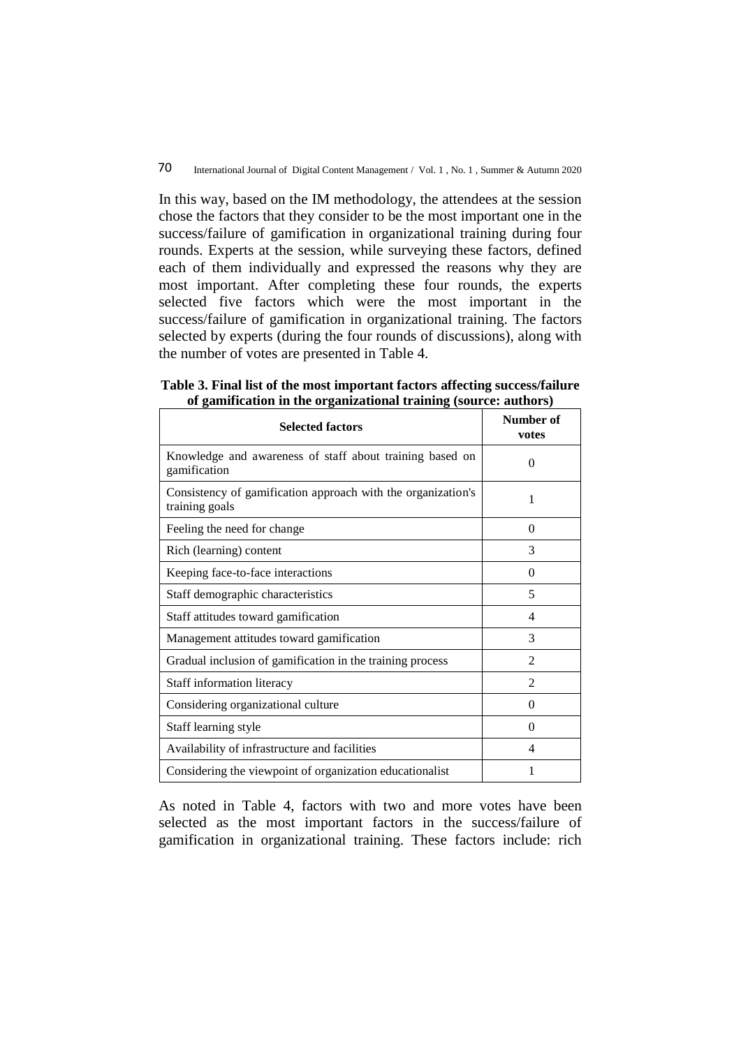In this way, based on the IM methodology, the attendees at the session chose the factors that they consider to be the most important one in the success/failure of gamification in organizational training during four rounds. Experts at the session, while surveying these factors, defined each of them individually and expressed the reasons why they are most important. After completing these four rounds, the experts selected five factors which were the most important in the success/failure of gamification in organizational training. The factors selected by experts (during the four rounds of discussions), along with the number of votes are presented in Table 4.

| <b>Selected factors</b>                                                        | Number of<br>votes |
|--------------------------------------------------------------------------------|--------------------|
| Knowledge and awareness of staff about training based on<br>gamification       | 0                  |
| Consistency of gamification approach with the organization's<br>training goals | 1                  |
| Feeling the need for change                                                    | 0                  |
| Rich (learning) content                                                        | 3                  |
| Keeping face-to-face interactions                                              | 0                  |
| Staff demographic characteristics                                              | 5                  |
| Staff attitudes toward gamification                                            | 4                  |
| Management attitudes toward gamification                                       | 3                  |
| Gradual inclusion of gamification in the training process                      | $\mathfrak{D}$     |
| Staff information literacy                                                     | 2                  |
| Considering organizational culture                                             | $\theta$           |
| Staff learning style                                                           | $\Omega$           |
| Availability of infrastructure and facilities                                  | 4                  |
| Considering the viewpoint of organization educationalist                       |                    |

**Table 3. Final list of the most important factors affecting success/failure of gamification in the organizational training (source: authors)**

As noted in Table 4, factors with two and more votes have been selected as the most important factors in the success/failure of gamification in organizational training. These factors include: rich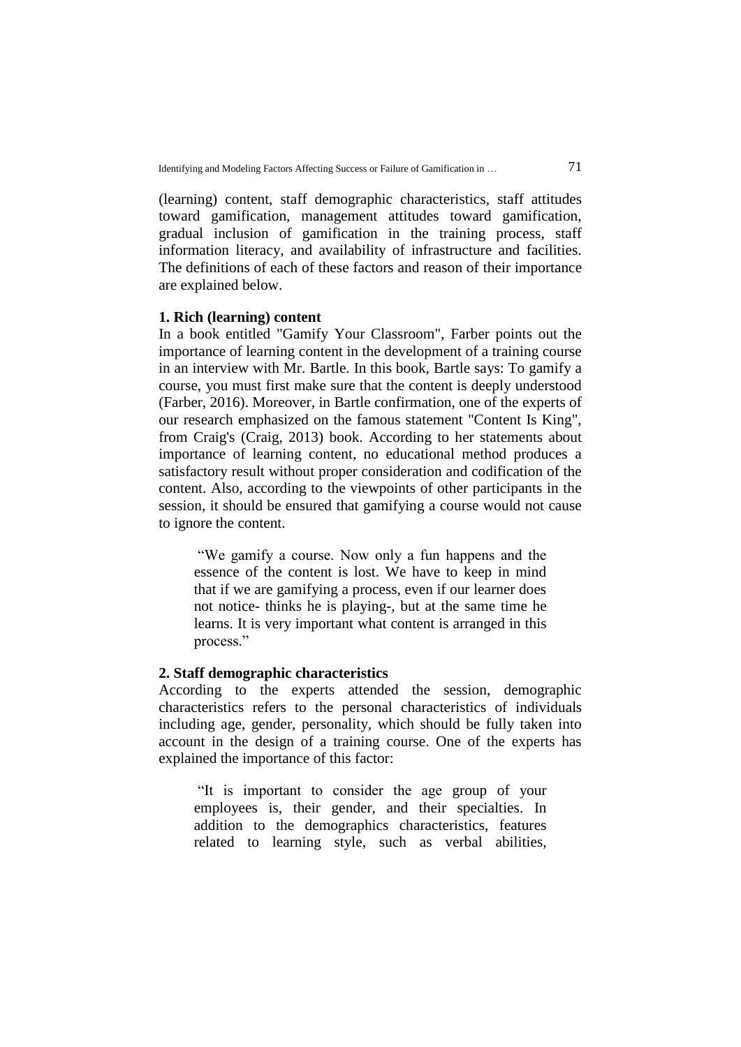(learning) content, staff demographic characteristics, staff attitudes toward gamification, management attitudes toward gamification, gradual inclusion of gamification in the training process, staff information literacy, and availability of infrastructure and facilities. The definitions of each of these factors and reason of their importance are explained below.

### **1. Rich (learning) content**

In a book entitled "Gamify Your Classroom", Farber points out the importance of learning content in the development of a training course in an interview with Mr. Bartle. In this book, Bartle says: To gamify a course, you must first make sure that the content is deeply understood (Farber, 2016). Moreover, in Bartle confirmation, one of the experts of our research emphasized on the famous statement "Content Is King", from Craig's (Craig, 2013) book. According to her statements about importance of learning content, no educational method produces a satisfactory result without proper consideration and codification of the content. Also, according to the viewpoints of other participants in the session, it should be ensured that gamifying a course would not cause to ignore the content.

"We gamify a course. Now only a fun happens and the essence of the content is lost. We have to keep in mind that if we are gamifying a process, even if our learner does not notice- thinks he is playing-, but at the same time he learns. It is very important what content is arranged in this process."

### **2. Staff demographic characteristics**

According to the experts attended the session, demographic characteristics refers to the personal characteristics of individuals including age, gender, personality, which should be fully taken into account in the design of a training course. One of the experts has explained the importance of this factor:

"It is important to consider the age group of your employees is, their gender, and their specialties. In addition to the demographics characteristics, features related to learning style, such as verbal abilities,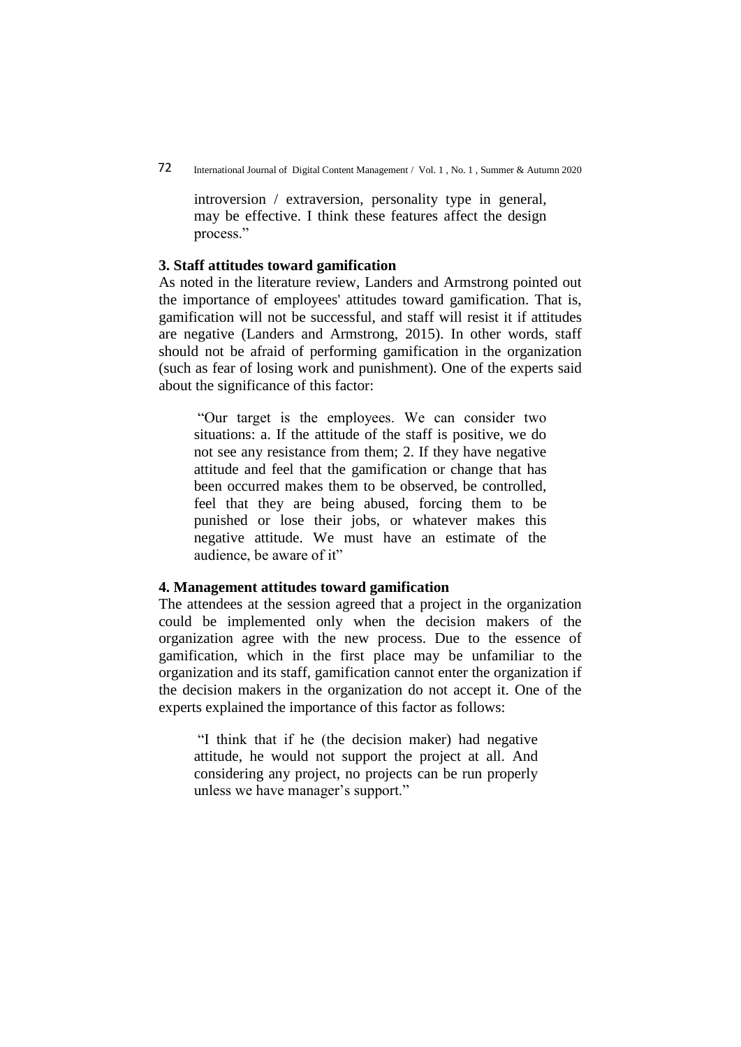introversion / extraversion, personality type in general, may be effective. I think these features affect the design process."

## **3. Staff attitudes toward gamification**

As noted in the literature review, Landers and Armstrong pointed out the importance of employees' attitudes toward gamification. That is, gamification will not be successful, and staff will resist it if attitudes are negative (Landers and Armstrong, 2015). In other words, staff should not be afraid of performing gamification in the organization (such as fear of losing work and punishment). One of the experts said about the significance of this factor:

"Our target is the employees. We can consider two situations: a. If the attitude of the staff is positive, we do not see any resistance from them; 2. If they have negative attitude and feel that the gamification or change that has been occurred makes them to be observed, be controlled, feel that they are being abused, forcing them to be punished or lose their jobs, or whatever makes this negative attitude. We must have an estimate of the audience, be aware of it"

## **4. Management attitudes toward gamification**

The attendees at the session agreed that a project in the organization could be implemented only when the decision makers of the organization agree with the new process. Due to the essence of gamification, which in the first place may be unfamiliar to the organization and its staff, gamification cannot enter the organization if the decision makers in the organization do not accept it. One of the experts explained the importance of this factor as follows:

"I think that if he (the decision maker) had negative attitude, he would not support the project at all. And considering any project, no projects can be run properly unless we have manager's support."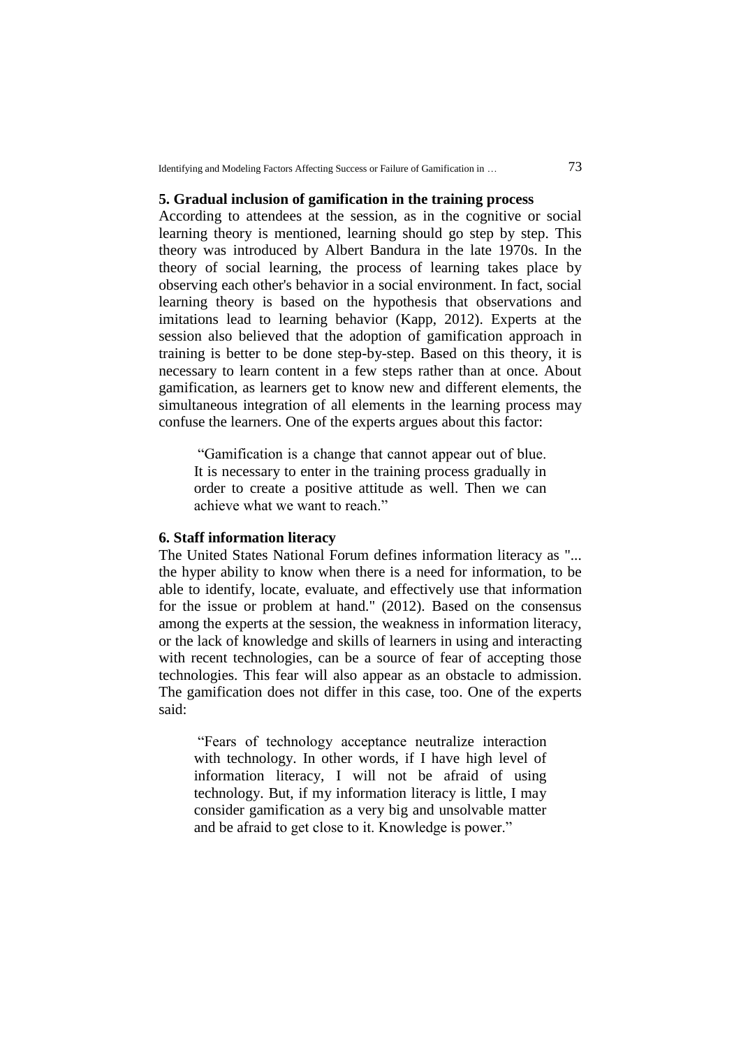#### **5. Gradual inclusion of gamification in the training process**

According to attendees at the session, as in the cognitive or social learning theory is mentioned, learning should go step by step. This theory was introduced by Albert Bandura in the late 1970s. In the theory of social learning, the process of learning takes place by observing each other's behavior in a social environment. In fact, social learning theory is based on the hypothesis that observations and imitations lead to learning behavior (Kapp, 2012). Experts at the session also believed that the adoption of gamification approach in training is better to be done step-by-step. Based on this theory, it is necessary to learn content in a few steps rather than at once. About gamification, as learners get to know new and different elements, the simultaneous integration of all elements in the learning process may confuse the learners. One of the experts argues about this factor:

"Gamification is a change that cannot appear out of blue. It is necessary to enter in the training process gradually in order to create a positive attitude as well. Then we can achieve what we want to reach."

## **6. Staff information literacy**

The United States National Forum defines information literacy as "... the hyper ability to know when there is a need for information, to be able to identify, locate, evaluate, and effectively use that information for the issue or problem at hand." (2012). Based on the consensus among the experts at the session, the weakness in information literacy, or the lack of knowledge and skills of learners in using and interacting with recent technologies, can be a source of fear of accepting those technologies. This fear will also appear as an obstacle to admission. The gamification does not differ in this case, too. One of the experts said:

"Fears of technology acceptance neutralize interaction with technology. In other words, if I have high level of information literacy, I will not be afraid of using technology. But, if my information literacy is little, I may consider gamification as a very big and unsolvable matter and be afraid to get close to it. Knowledge is power."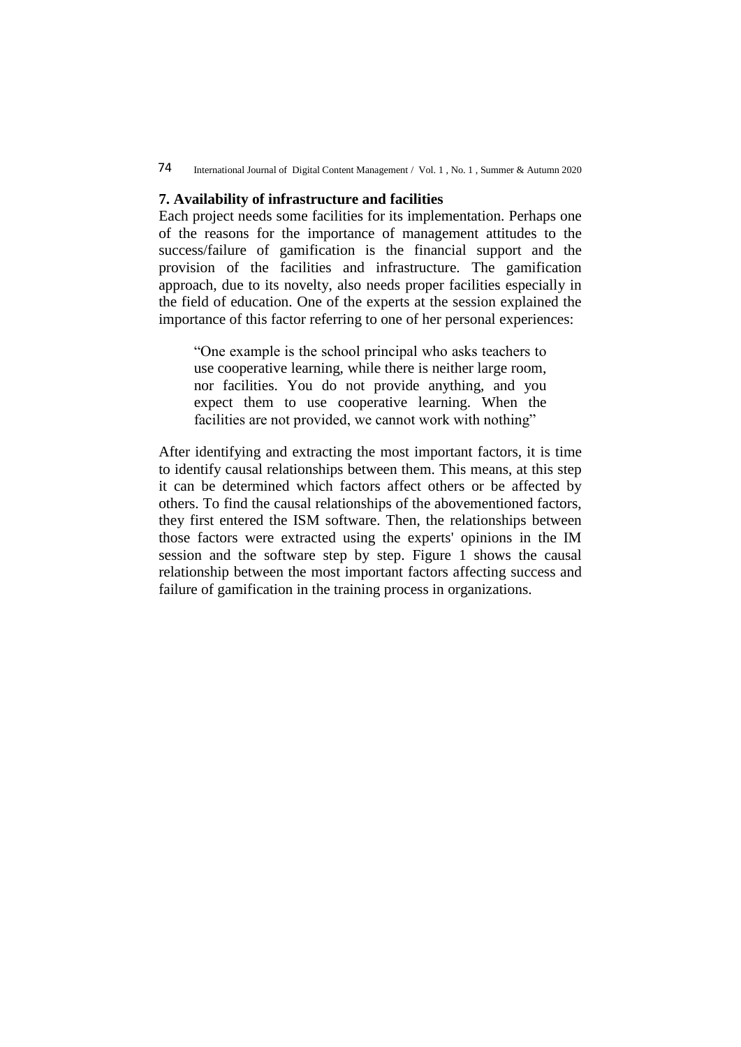## 74 International Journal of Digital Content Management / Vol. 1 , No. 1 , Summer & Autumn 2020

#### **7. Availability of infrastructure and facilities**

Each project needs some facilities for its implementation. Perhaps one of the reasons for the importance of management attitudes to the success/failure of gamification is the financial support and the provision of the facilities and infrastructure. The gamification approach, due to its novelty, also needs proper facilities especially in the field of education. One of the experts at the session explained the importance of this factor referring to one of her personal experiences:

"One example is the school principal who asks teachers to use cooperative learning, while there is neither large room, nor facilities. You do not provide anything, and you expect them to use cooperative learning. When the facilities are not provided, we cannot work with nothing"

After identifying and extracting the most important factors, it is time to identify causal relationships between them. This means, at this step it can be determined which factors affect others or be affected by others. To find the causal relationships of the abovementioned factors, they first entered the ISM software. Then, the relationships between those factors were extracted using the experts' opinions in the IM session and the software step by step. Figure 1 shows the causal relationship between the most important factors affecting success and failure of gamification in the training process in organizations.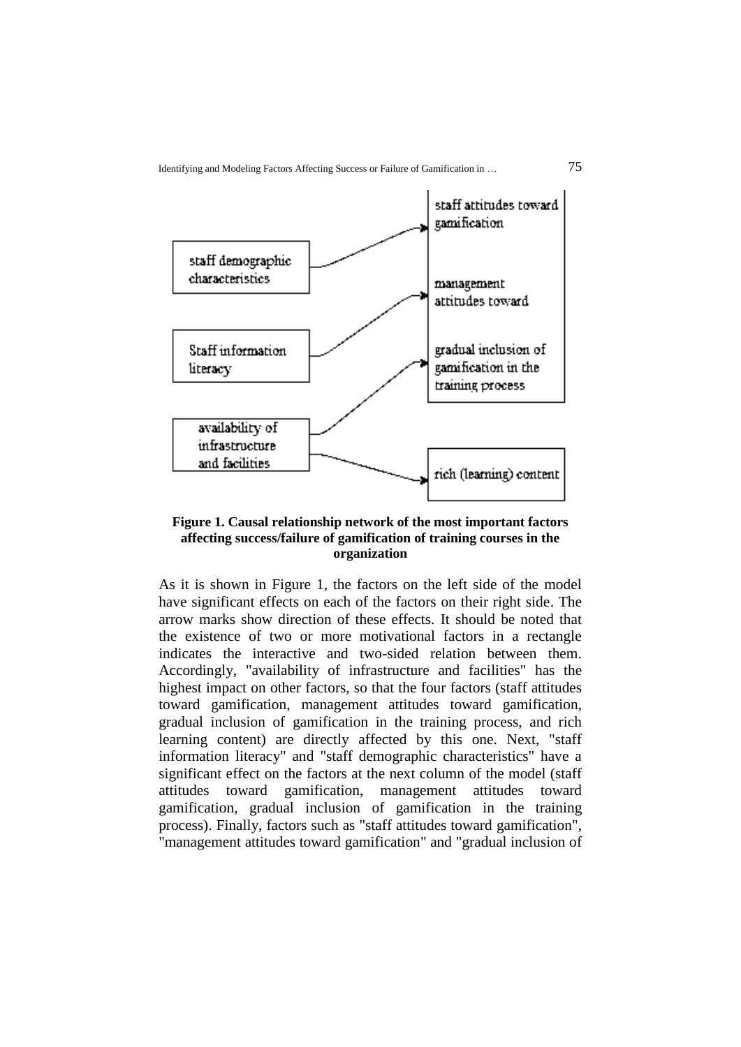

## **Figure 1. Causal relationship network of the most important factors affecting success/failure of gamification of training courses in the organization**

As it is shown in Figure 1, the factors on the left side of the model have significant effects on each of the factors on their right side. The arrow marks show direction of these effects. It should be noted that the existence of two or more motivational factors in a rectangle indicates the interactive and two-sided relation between them. Accordingly, "availability of infrastructure and facilities" has the highest impact on other factors, so that the four factors (staff attitudes toward gamification, management attitudes toward gamification, gradual inclusion of gamification in the training process, and rich learning content) are directly affected by this one. Next, "staff information literacy" and "staff demographic characteristics" have a significant effect on the factors at the next column of the model (staff attitudes toward gamification, management attitudes toward gamification, gradual inclusion of gamification in the training process). Finally, factors such as "staff attitudes toward gamification", "management attitudes toward gamification" and "gradual inclusion of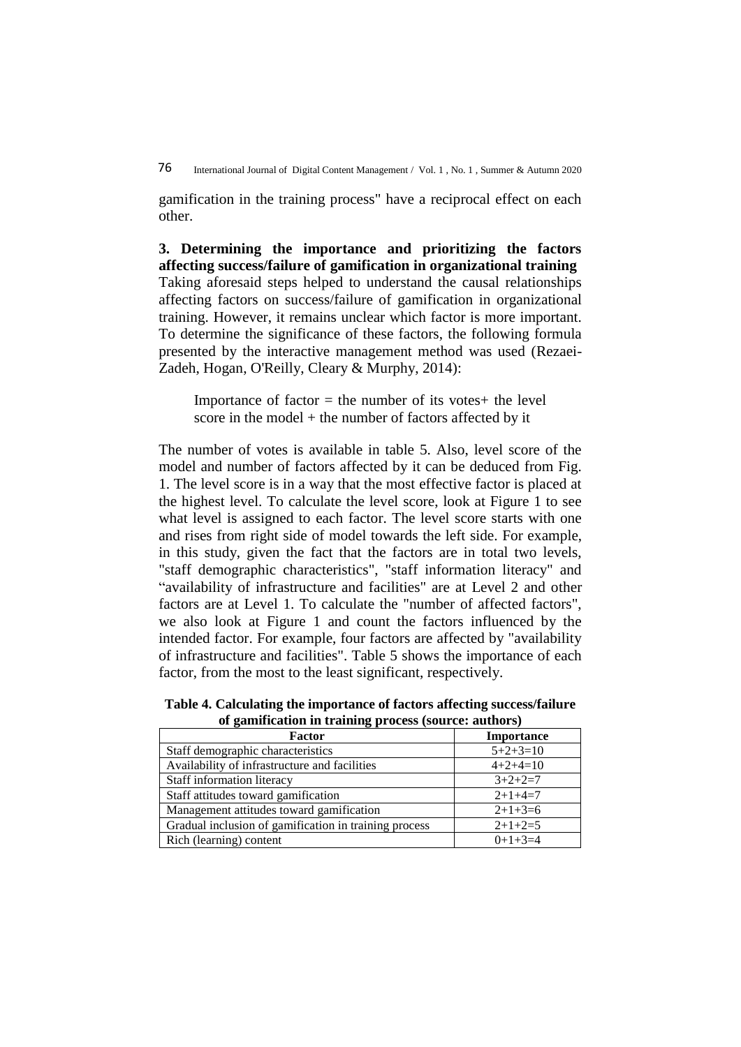gamification in the training process" have a reciprocal effect on each other.

**3. Determining the importance and prioritizing the factors affecting success/failure of gamification in organizational training** Taking aforesaid steps helped to understand the causal relationships affecting factors on success/failure of gamification in organizational training. However, it remains unclear which factor is more important. To determine the significance of these factors, the following formula presented by the interactive management method was used (Rezaei-Zadeh, Hogan, O'Reilly, Cleary & Murphy, 2014):

Importance of factor  $=$  the number of its votes $+$  the level score in the model + the number of factors affected by it

The number of votes is available in table 5. Also, level score of the model and number of factors affected by it can be deduced from Fig. 1. The level score is in a way that the most effective factor is placed at the highest level. To calculate the level score, look at Figure 1 to see what level is assigned to each factor. The level score starts with one and rises from right side of model towards the left side. For example, in this study, given the fact that the factors are in total two levels, "staff demographic characteristics", "staff information literacy" and "availability of infrastructure and facilities" are at Level 2 and other factors are at Level 1. To calculate the "number of affected factors", we also look at Figure 1 and count the factors influenced by the intended factor. For example, four factors are affected by "availability of infrastructure and facilities". Table 5 shows the importance of each factor, from the most to the least significant, respectively.

**Table 4. Calculating the importance of factors affecting success/failure of gamification in training process (source: authors)**

| <b>Factor</b>                                         | <b>Importance</b> |
|-------------------------------------------------------|-------------------|
| Staff demographic characteristics                     | $5+2+3=10$        |
| Availability of infrastructure and facilities         | $4+2+4=10$        |
| Staff information literacy                            | $3+2+2=7$         |
| Staff attitudes toward gamification                   | $2+1+4=7$         |
| Management attitudes toward gamification              | $2+1+3=6$         |
| Gradual inclusion of gamification in training process | $2+1+2=5$         |
| Rich (learning) content                               | $0+1+3=4$         |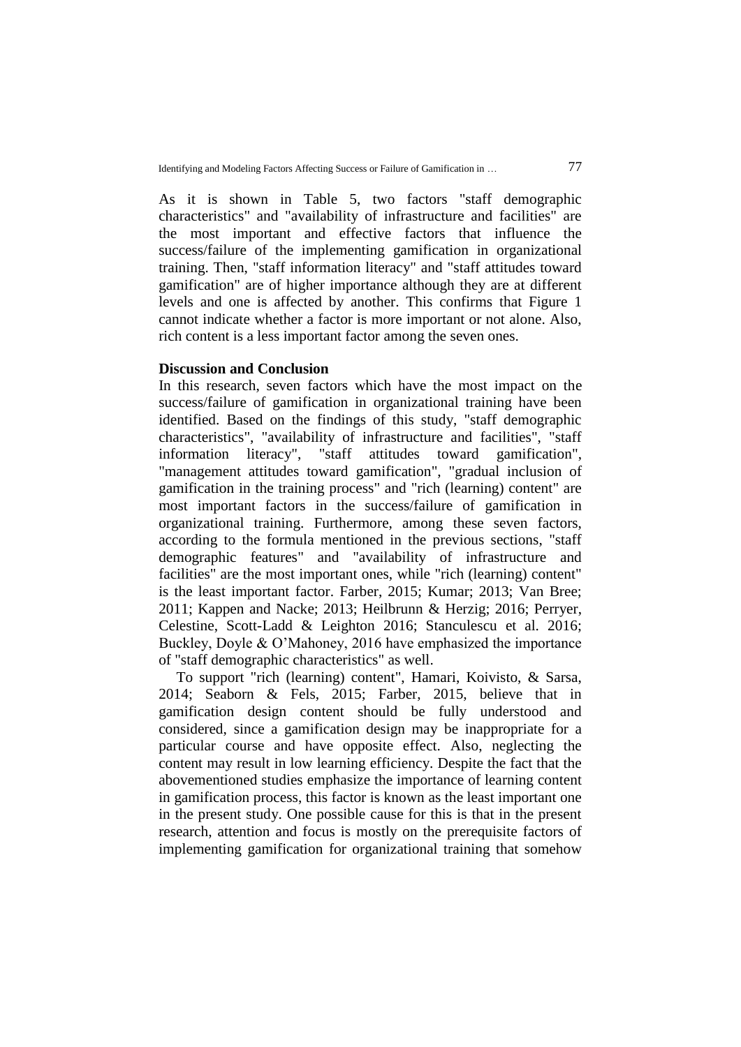As it is shown in Table 5, two factors "staff demographic characteristics" and "availability of infrastructure and facilities" are the most important and effective factors that influence the success/failure of the implementing gamification in organizational training. Then, "staff information literacy" and "staff attitudes toward gamification" are of higher importance although they are at different levels and one is affected by another. This confirms that Figure 1 cannot indicate whether a factor is more important or not alone. Also, rich content is a less important factor among the seven ones.

## **Discussion and Conclusion**

In this research, seven factors which have the most impact on the success/failure of gamification in organizational training have been identified. Based on the findings of this study, "staff demographic characteristics", "availability of infrastructure and facilities", "staff information literacy", "staff attitudes toward gamification", "management attitudes toward gamification", "gradual inclusion of gamification in the training process" and "rich (learning) content" are most important factors in the success/failure of gamification in organizational training. Furthermore, among these seven factors, according to the formula mentioned in the previous sections, "staff demographic features" and "availability of infrastructure and facilities" are the most important ones, while "rich (learning) content" is the least important factor. Farber, 2015; Kumar; 2013; Van Bree; 2011; Kappen and Nacke; 2013; Heilbrunn & Herzig; 2016; Perryer, Celestine, Scott-Ladd & Leighton 2016; Stanculescu et al. 2016; Buckley, Doyle & O'Mahoney, 2016 have emphasized the importance of "staff demographic characteristics" as well.

To support "rich (learning) content", Hamari, Koivisto, & Sarsa, 2014; Seaborn & Fels, 2015; Farber, 2015, believe that in gamification design content should be fully understood and considered, since a gamification design may be inappropriate for a particular course and have opposite effect. Also, neglecting the content may result in low learning efficiency. Despite the fact that the abovementioned studies emphasize the importance of learning content in gamification process, this factor is known as the least important one in the present study. One possible cause for this is that in the present research, attention and focus is mostly on the prerequisite factors of implementing gamification for organizational training that somehow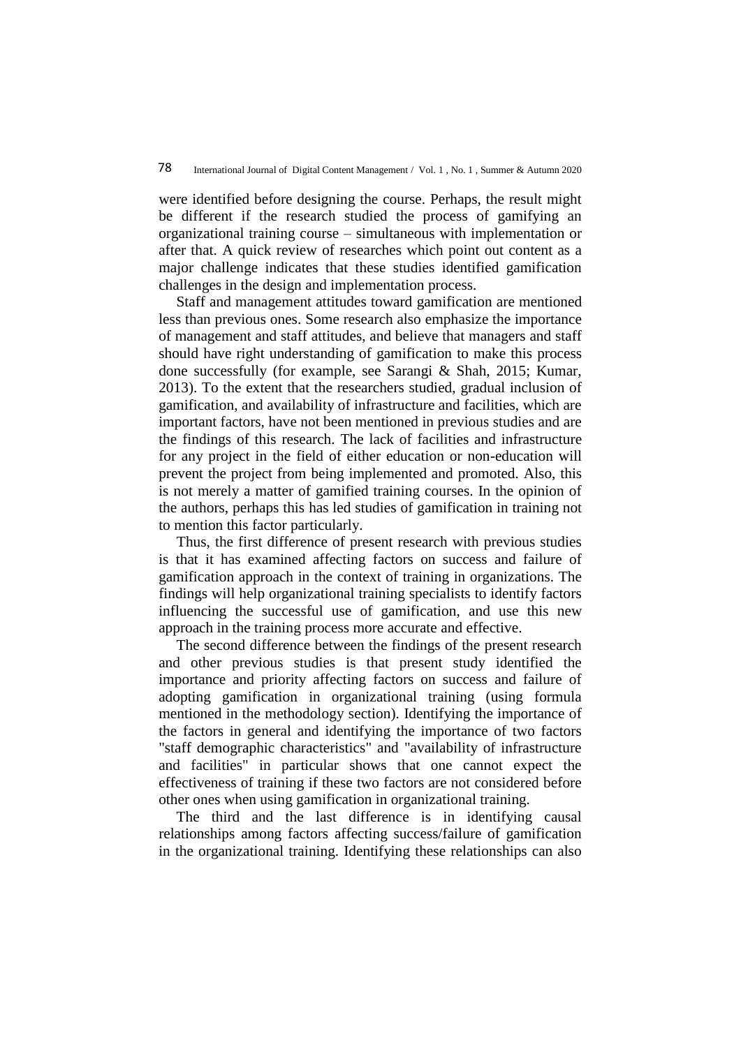were identified before designing the course. Perhaps, the result might be different if the research studied the process of gamifying an organizational training course – simultaneous with implementation or after that. A quick review of researches which point out content as a major challenge indicates that these studies identified gamification challenges in the design and implementation process.

Staff and management attitudes toward gamification are mentioned less than previous ones. Some research also emphasize the importance of management and staff attitudes, and believe that managers and staff should have right understanding of gamification to make this process done successfully (for example, see Sarangi & Shah, 2015; Kumar, 2013). To the extent that the researchers studied, gradual inclusion of gamification, and availability of infrastructure and facilities, which are important factors, have not been mentioned in previous studies and are the findings of this research. The lack of facilities and infrastructure for any project in the field of either education or non-education will prevent the project from being implemented and promoted. Also, this is not merely a matter of gamified training courses. In the opinion of the authors, perhaps this has led studies of gamification in training not to mention this factor particularly.

Thus, the first difference of present research with previous studies is that it has examined affecting factors on success and failure of gamification approach in the context of training in organizations. The findings will help organizational training specialists to identify factors influencing the successful use of gamification, and use this new approach in the training process more accurate and effective.

The second difference between the findings of the present research and other previous studies is that present study identified the importance and priority affecting factors on success and failure of adopting gamification in organizational training (using formula mentioned in the methodology section). Identifying the importance of the factors in general and identifying the importance of two factors "staff demographic characteristics" and "availability of infrastructure and facilities" in particular shows that one cannot expect the effectiveness of training if these two factors are not considered before other ones when using gamification in organizational training.

The third and the last difference is in identifying causal relationships among factors affecting success/failure of gamification in the organizational training. Identifying these relationships can also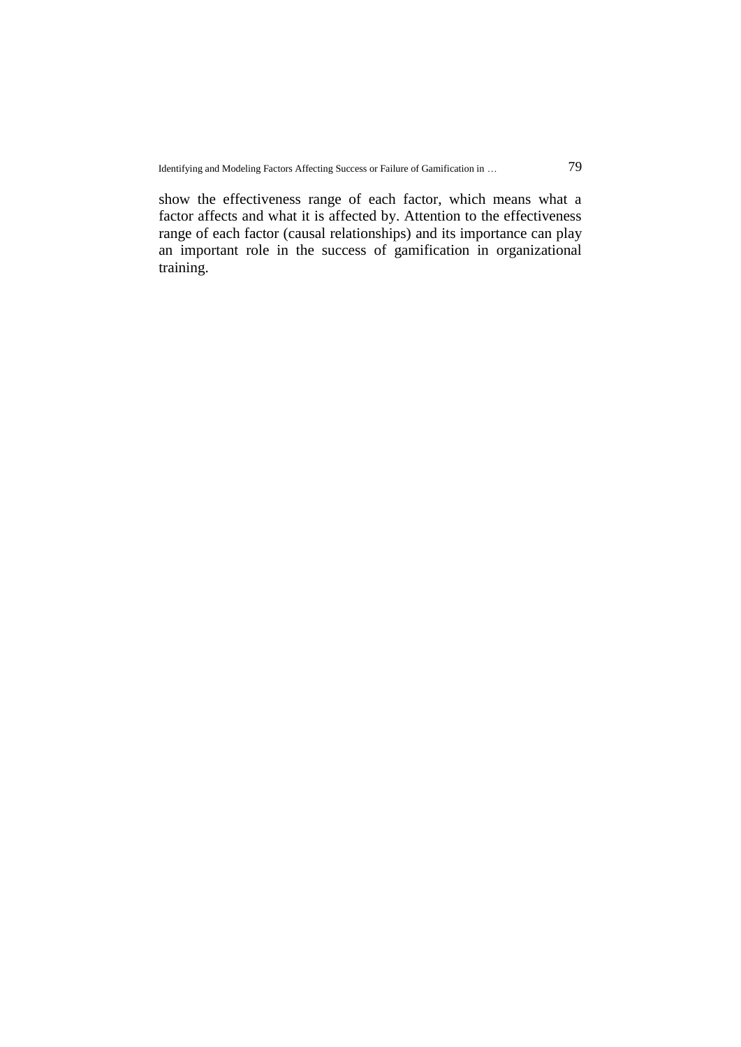show the effectiveness range of each factor, which means what a factor affects and what it is affected by. Attention to the effectiveness range of each factor (causal relationships) and its importance can play an important role in the success of gamification in organizational training.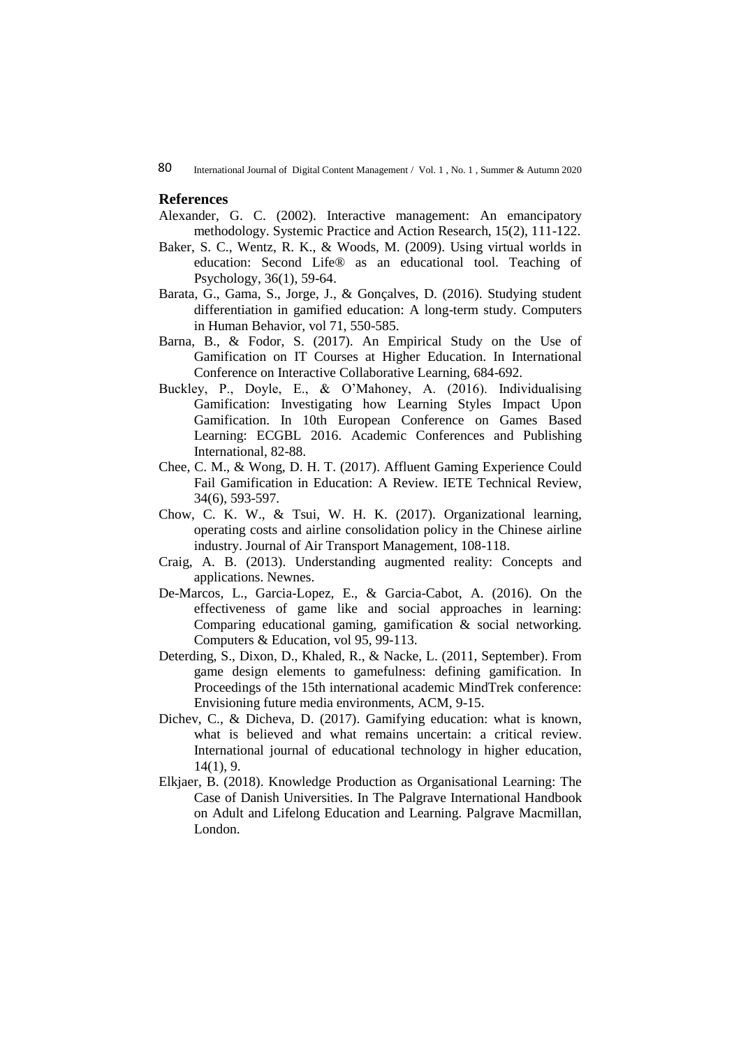#### **References**

- Alexander, G. C. (2002). Interactive management: An emancipatory methodology. Systemic Practice and Action Research, 15(2), 111-122.
- Baker, S. C., Wentz, R. K., & Woods, M. (2009). Using virtual worlds in education: Second Life® as an educational tool. Teaching of Psychology, 36(1), 59-64.
- Barata, G., Gama, S., Jorge, J., & Gonçalves, D. (2016). Studying student differentiation in gamified education: A long-term study. Computers in Human Behavior, vol 71, 550-585.
- Barna, B., & Fodor, S. (2017). An Empirical Study on the Use of Gamification on IT Courses at Higher Education. In International Conference on Interactive Collaborative Learning, 684-692.
- Buckley, P., Doyle, E., & O'Mahoney, A. (2016). Individualising Gamification: Investigating how Learning Styles Impact Upon Gamification. In 10th European Conference on Games Based Learning: ECGBL 2016. Academic Conferences and Publishing International, 82-88.
- Chee, C. M., & Wong, D. H. T. (2017). Affluent Gaming Experience Could Fail Gamification in Education: A Review. IETE Technical Review, 34(6), 593-597.
- Chow, C. K. W., & Tsui, W. H. K. (2017). Organizational learning, operating costs and airline consolidation policy in the Chinese airline industry. Journal of Air Transport Management, 108-118.
- Craig, A. B. (2013). Understanding augmented reality: Concepts and applications. Newnes.
- De-Marcos, L., Garcia-Lopez, E., & Garcia-Cabot, A. (2016). On the effectiveness of game like and social approaches in learning: Comparing educational gaming, gamification & social networking. Computers & Education, vol 95, 99-113.
- Deterding, S., Dixon, D., Khaled, R., & Nacke, L. (2011, September). From game design elements to gamefulness: defining gamification. In Proceedings of the 15th international academic MindTrek conference: Envisioning future media environments, ACM, 9-15.
- Dichev, C., & Dicheva, D. (2017). Gamifying education: what is known, what is believed and what remains uncertain: a critical review. International journal of educational technology in higher education, 14(1), 9.
- Elkjaer, B. (2018). Knowledge Production as Organisational Learning: The Case of Danish Universities. In The Palgrave International Handbook on Adult and Lifelong Education and Learning. Palgrave Macmillan, London.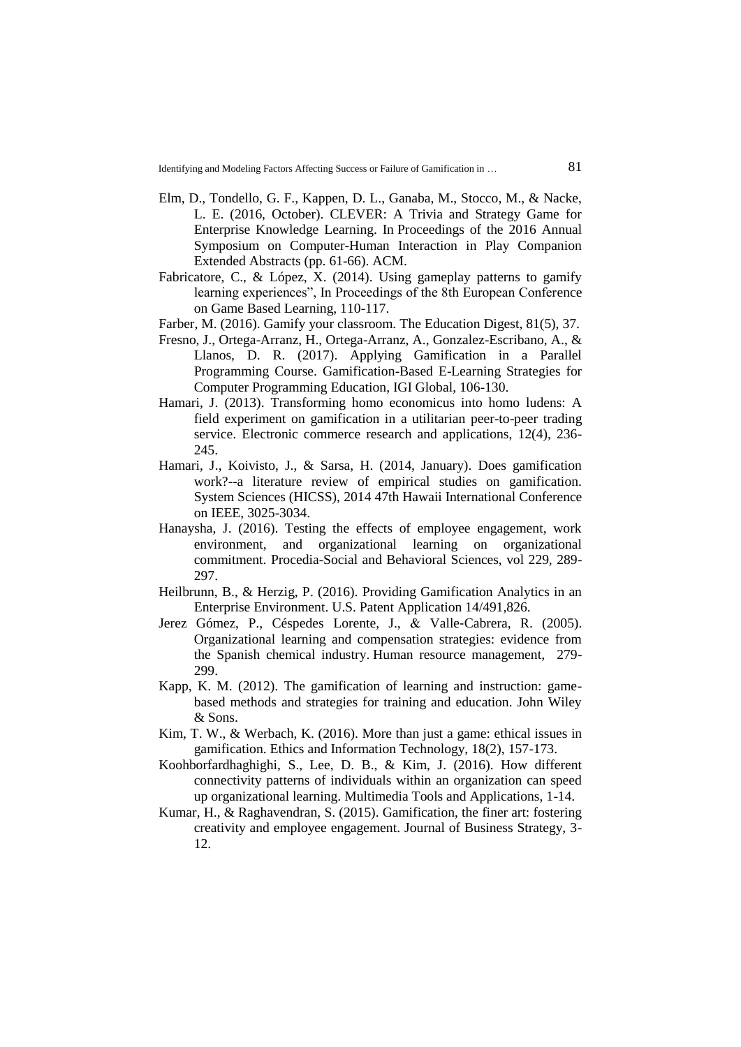- Elm, D., Tondello, G. F., Kappen, D. L., Ganaba, M., Stocco, M., & Nacke, L. E. (2016, October). CLEVER: A Trivia and Strategy Game for Enterprise Knowledge Learning. In Proceedings of the 2016 Annual Symposium on Computer-Human Interaction in Play Companion Extended Abstracts (pp. 61-66). ACM.
- Fabricatore, C., & López, X. (2014). Using gameplay patterns to gamify learning experiences", In Proceedings of the 8th European Conference on Game Based Learning, 110-117.
- Farber, M. (2016). Gamify your classroom. The Education Digest, 81(5), 37.
- Fresno, J., Ortega-Arranz, H., Ortega-Arranz, A., Gonzalez-Escribano, A., & Llanos, D. R. (2017). Applying Gamification in a Parallel Programming Course. Gamification-Based E-Learning Strategies for Computer Programming Education, IGI Global, 106-130.
- Hamari, J. (2013). Transforming homo economicus into homo ludens: A field experiment on gamification in a utilitarian peer-to-peer trading service. Electronic commerce research and applications, 12(4), 236- 245.
- Hamari, J., Koivisto, J., & Sarsa, H. (2014, January). Does gamification work?--a literature review of empirical studies on gamification. System Sciences (HICSS), 2014 47th Hawaii International Conference on IEEE, 3025-3034.
- Hanaysha, J. (2016). Testing the effects of employee engagement, work environment, and organizational learning on organizational commitment. Procedia-Social and Behavioral Sciences, vol 229, 289- 297.
- Heilbrunn, B., & Herzig, P. (2016). Providing Gamification Analytics in an Enterprise Environment. U.S. Patent Application 14/491,826.
- Jerez Gómez, P., Céspedes Lorente, J., & Valle‐Cabrera, R. (2005). Organizational learning and compensation strategies: evidence from the Spanish chemical industry. Human resource management, 279- 299.
- Kapp, K. M. (2012). The gamification of learning and instruction: gamebased methods and strategies for training and education. John Wiley & Sons.
- Kim, T. W., & Werbach, K. (2016). More than just a game: ethical issues in gamification. Ethics and Information Technology, 18(2), 157-173.
- Koohborfardhaghighi, S., Lee, D. B., & Kim, J. (2016). How different connectivity patterns of individuals within an organization can speed up organizational learning. Multimedia Tools and Applications, 1-14.
- Kumar, H., & Raghavendran, S. (2015). Gamification, the finer art: fostering creativity and employee engagement. Journal of Business Strategy, 3- 12.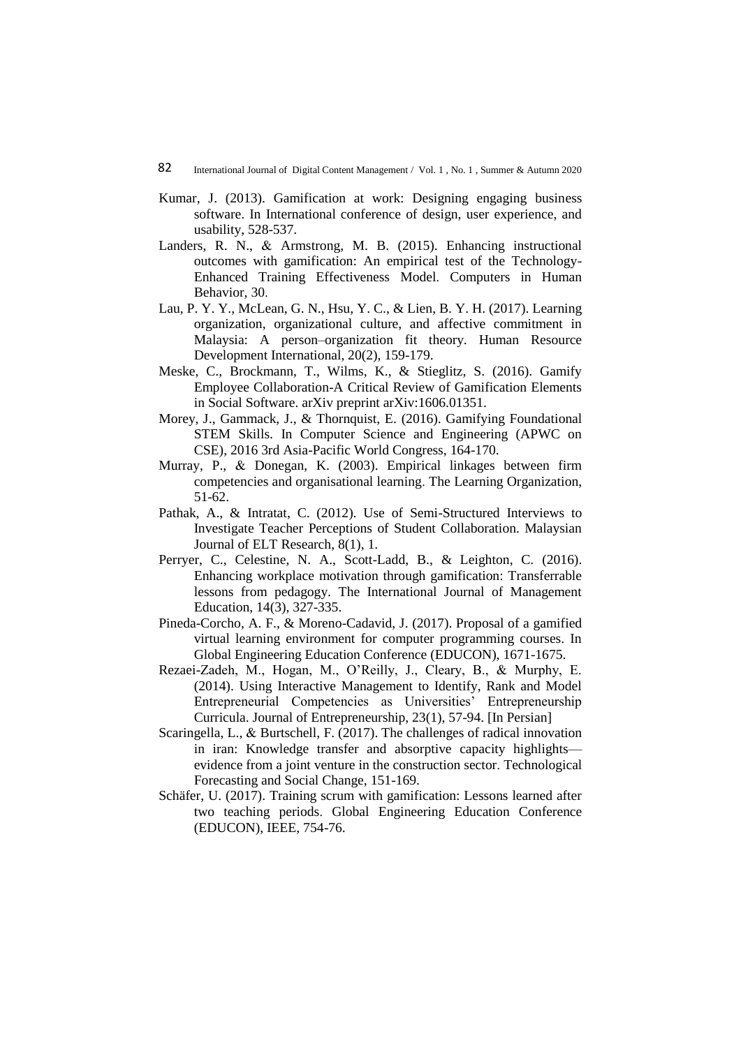- Kumar, J. (2013). Gamification at work: Designing engaging business software. In International conference of design, user experience, and usability, 528-537.
- Landers, R. N., & Armstrong, M. B. (2015). Enhancing instructional outcomes with gamification: An empirical test of the Technology-Enhanced Training Effectiveness Model. Computers in Human Behavior, 30.
- Lau, P. Y. Y., McLean, G. N., Hsu, Y. C., & Lien, B. Y. H. (2017). Learning organization, organizational culture, and affective commitment in Malaysia: A person–organization fit theory. Human Resource Development International, 20(2), 159-179.
- Meske, C., Brockmann, T., Wilms, K., & Stieglitz, S. (2016). Gamify Employee Collaboration-A Critical Review of Gamification Elements in Social Software. arXiv preprint arXiv:1606.01351.
- Morey, J., Gammack, J., & Thornquist, E. (2016). Gamifying Foundational STEM Skills. In Computer Science and Engineering (APWC on CSE), 2016 3rd Asia-Pacific World Congress, 164-170.
- Murray, P., & Donegan, K. (2003). Empirical linkages between firm competencies and organisational learning. The Learning Organization, 51-62.
- Pathak, A., & Intratat, C. (2012). Use of Semi-Structured Interviews to Investigate Teacher Perceptions of Student Collaboration. Malaysian Journal of ELT Research, 8(1), 1.
- Perryer, C., Celestine, N. A., Scott-Ladd, B., & Leighton, C. (2016). Enhancing workplace motivation through gamification: Transferrable lessons from pedagogy. The International Journal of Management Education, 14(3), 327-335.
- Pineda-Corcho, A. F., & Moreno-Cadavid, J. (2017). Proposal of a gamified virtual learning environment for computer programming courses. In Global Engineering Education Conference (EDUCON), 1671-1675.
- Rezaei-Zadeh, M., Hogan, M., O'Reilly, J., Cleary, B., & Murphy, E. (2014). Using Interactive Management to Identify, Rank and Model Entrepreneurial Competencies as Universities' Entrepreneurship Curricula. Journal of Entrepreneurship, 23(1), 57-94. [In Persian]
- Scaringella, L., & Burtschell, F. (2017). The challenges of radical innovation in iran: Knowledge transfer and absorptive capacity highlights evidence from a joint venture in the construction sector. Technological Forecasting and Social Change, 151-169.
- Schäfer, U. (2017). Training scrum with gamification: Lessons learned after two teaching periods. Global Engineering Education Conference (EDUCON), IEEE, 754-76.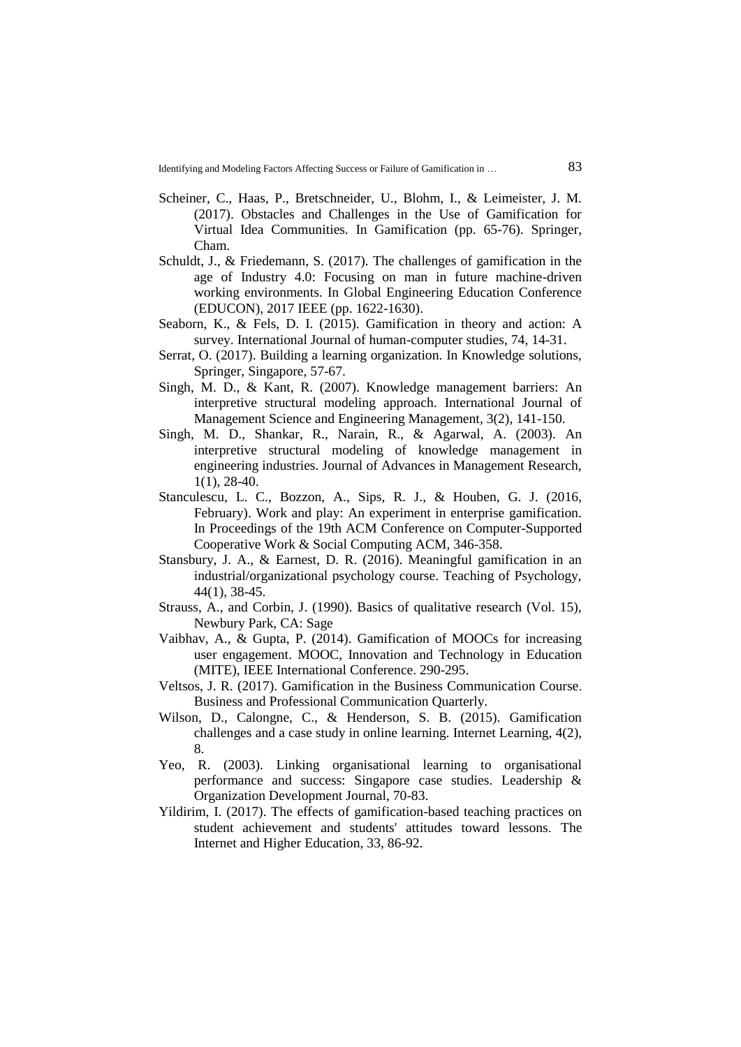- Scheiner, C., Haas, P., Bretschneider, U., Blohm, I., & Leimeister, J. M. (2017). Obstacles and Challenges in the Use of Gamification for Virtual Idea Communities. In Gamification (pp. 65-76). Springer, Cham.
- Schuldt, J., & Friedemann, S. (2017). The challenges of gamification in the age of Industry 4.0: Focusing on man in future machine-driven working environments. In Global Engineering Education Conference (EDUCON), 2017 IEEE (pp. 1622-1630).
- Seaborn, K., & Fels, D. I. (2015). Gamification in theory and action: A survey. International Journal of human-computer studies, 74, 14-31.
- Serrat, O. (2017). Building a learning organization. In Knowledge solutions, Springer, Singapore, 57-67.
- Singh, M. D., & Kant, R. (2007). Knowledge management barriers: An interpretive structural modeling approach. International Journal of Management Science and Engineering Management, 3(2), 141-150.
- Singh, M. D., Shankar, R., Narain, R., & Agarwal, A. (2003). An interpretive structural modeling of knowledge management in engineering industries. Journal of Advances in Management Research, 1(1), 28-40.
- Stanculescu, L. C., Bozzon, A., Sips, R. J., & Houben, G. J. (2016, February). Work and play: An experiment in enterprise gamification. In Proceedings of the 19th ACM Conference on Computer-Supported Cooperative Work & Social Computing ACM, 346-358.
- Stansbury, J. A., & Earnest, D. R. (2016). Meaningful gamification in an industrial/organizational psychology course. Teaching of Psychology, 44(1), 38-45.
- Strauss, A., and Corbin, J. (1990). Basics of qualitative research (Vol. 15), Newbury Park, CA: Sage
- Vaibhav, A., & Gupta, P. (2014). Gamification of MOOCs for increasing user engagement. MOOC, Innovation and Technology in Education (MITE), IEEE International Conference. 290-295.
- Veltsos, J. R. (2017). Gamification in the Business Communication Course. Business and Professional Communication Quarterly.
- Wilson, D., Calongne, C., & Henderson, S. B. (2015). Gamification challenges and a case study in online learning. Internet Learning, 4(2), 8.
- Yeo, R. (2003). Linking organisational learning to organisational performance and success: Singapore case studies. Leadership & Organization Development Journal, 70-83.
- Yildirim, I. (2017). The effects of gamification-based teaching practices on student achievement and students' attitudes toward lessons. The Internet and Higher Education, 33, 86-92.